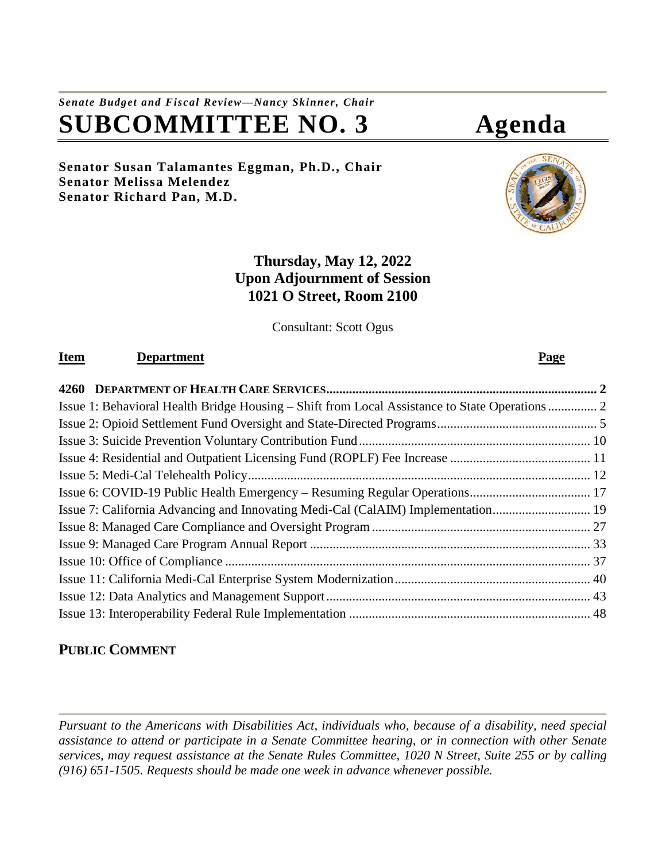# *Senate Budget and Fiscal Review—Nancy Skinner, Chair* **SUBCOMMITTEE NO. 3 Agenda**

**Senator Susan Talamantes Eggman, Ph.D., Chair Senator Melissa Melendez Senator Richard Pan, M.D.**

# **Thursday, May 12, 2022 Upon Adjournment of Session 1021 O Street, Room 2100**

Consultant: Scott Ogus

# **Item Department Page**

| Issue 7: California Advancing and Innovating Medi-Cal (CalAIM) Implementation 19 |  |
|----------------------------------------------------------------------------------|--|
|                                                                                  |  |
|                                                                                  |  |
|                                                                                  |  |
|                                                                                  |  |
|                                                                                  |  |
|                                                                                  |  |

# **PUBLIC COMMENT**

*Pursuant to the Americans with Disabilities Act, individuals who, because of a disability, need special assistance to attend or participate in a Senate Committee hearing, or in connection with other Senate services, may request assistance at the Senate Rules Committee, 1020 N Street, Suite 255 or by calling (916) 651-1505. Requests should be made one week in advance whenever possible.*

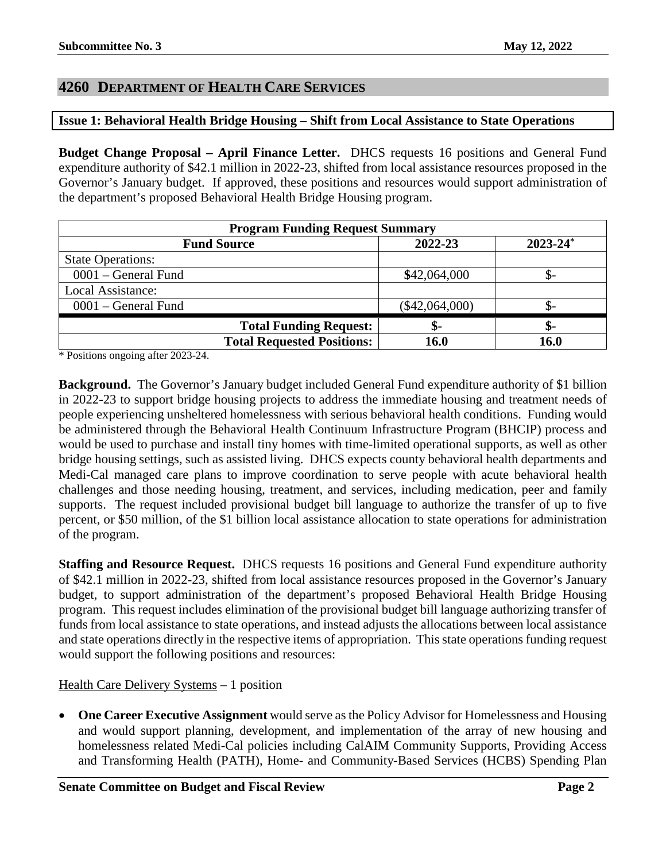# <span id="page-1-0"></span>**4260 DEPARTMENT OF HEALTH CARE SERVICES**

# <span id="page-1-1"></span>**Issue 1: Behavioral Health Bridge Housing – Shift from Local Assistance to State Operations**

**Budget Change Proposal – April Finance Letter.** DHCS requests 16 positions and General Fund expenditure authority of \$42.1 million in 2022-23, shifted from local assistance resources proposed in the Governor's January budget. If approved, these positions and resources would support administration of the department's proposed Behavioral Health Bridge Housing program.

| <b>Program Funding Request Summary</b> |                  |               |
|----------------------------------------|------------------|---------------|
| <b>Fund Source</b>                     | 2022-23          | $2023 - 24^*$ |
| <b>State Operations:</b>               |                  |               |
| $0001$ – General Fund                  | \$42,064,000     |               |
| Local Assistance:                      |                  |               |
| $0001$ – General Fund                  | $(\$42,064,000)$ |               |
| <b>Total Funding Request:</b>          | \$-              | ক-            |
| <b>Total Requested Positions:</b>      | 16.0             | 16.0          |

\* Positions ongoing after 2023-24.

**Background.** The Governor's January budget included General Fund expenditure authority of \$1 billion in 2022-23 to support bridge housing projects to address the immediate housing and treatment needs of people experiencing unsheltered homelessness with serious behavioral health conditions. Funding would be administered through the Behavioral Health Continuum Infrastructure Program (BHCIP) process and would be used to purchase and install tiny homes with time-limited operational supports, as well as other bridge housing settings, such as assisted living. DHCS expects county behavioral health departments and Medi-Cal managed care plans to improve coordination to serve people with acute behavioral health challenges and those needing housing, treatment, and services, including medication, peer and family supports. The request included provisional budget bill language to authorize the transfer of up to five percent, or \$50 million, of the \$1 billion local assistance allocation to state operations for administration of the program.

**Staffing and Resource Request.** DHCS requests 16 positions and General Fund expenditure authority of \$42.1 million in 2022-23, shifted from local assistance resources proposed in the Governor's January budget, to support administration of the department's proposed Behavioral Health Bridge Housing program. This request includes elimination of the provisional budget bill language authorizing transfer of funds from local assistance to state operations, and instead adjusts the allocations between local assistance and state operations directly in the respective items of appropriation. This state operations funding request would support the following positions and resources:

Health Care Delivery Systems – 1 position

• **One Career Executive Assignment** would serve as the Policy Advisor for Homelessness and Housing and would support planning, development, and implementation of the array of new housing and homelessness related Medi-Cal policies including CalAIM Community Supports, Providing Access and Transforming Health (PATH), Home- and Community-Based Services (HCBS) Spending Plan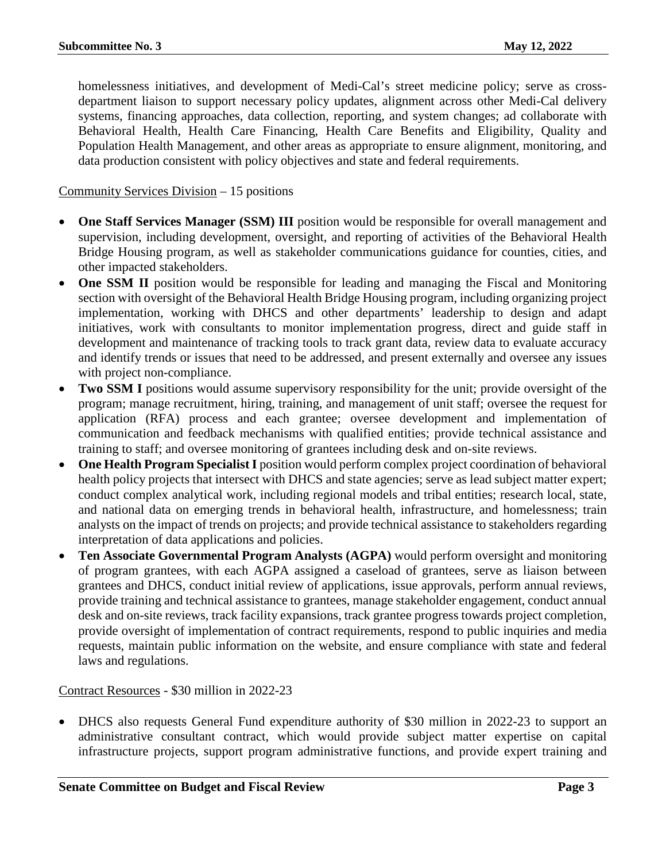homelessness initiatives, and development of Medi-Cal's street medicine policy; serve as crossdepartment liaison to support necessary policy updates, alignment across other Medi-Cal delivery systems, financing approaches, data collection, reporting, and system changes; ad collaborate with Behavioral Health, Health Care Financing, Health Care Benefits and Eligibility, Quality and Population Health Management, and other areas as appropriate to ensure alignment, monitoring, and data production consistent with policy objectives and state and federal requirements.

Community Services Division – 15 positions

- **One Staff Services Manager (SSM) III** position would be responsible for overall management and supervision, including development, oversight, and reporting of activities of the Behavioral Health Bridge Housing program, as well as stakeholder communications guidance for counties, cities, and other impacted stakeholders.
- **One SSM II** position would be responsible for leading and managing the Fiscal and Monitoring section with oversight of the Behavioral Health Bridge Housing program, including organizing project implementation, working with DHCS and other departments' leadership to design and adapt initiatives, work with consultants to monitor implementation progress, direct and guide staff in development and maintenance of tracking tools to track grant data, review data to evaluate accuracy and identify trends or issues that need to be addressed, and present externally and oversee any issues with project non-compliance.
- **Two SSM I** positions would assume supervisory responsibility for the unit; provide oversight of the program; manage recruitment, hiring, training, and management of unit staff; oversee the request for application (RFA) process and each grantee; oversee development and implementation of communication and feedback mechanisms with qualified entities; provide technical assistance and training to staff; and oversee monitoring of grantees including desk and on-site reviews.
- One Health Program Specialist I position would perform complex project coordination of behavioral health policy projects that intersect with DHCS and state agencies; serve as lead subject matter expert; conduct complex analytical work, including regional models and tribal entities; research local, state, and national data on emerging trends in behavioral health, infrastructure, and homelessness; train analysts on the impact of trends on projects; and provide technical assistance to stakeholders regarding interpretation of data applications and policies.
- **Ten Associate Governmental Program Analysts (AGPA)** would perform oversight and monitoring of program grantees, with each AGPA assigned a caseload of grantees, serve as liaison between grantees and DHCS, conduct initial review of applications, issue approvals, perform annual reviews, provide training and technical assistance to grantees, manage stakeholder engagement, conduct annual desk and on-site reviews, track facility expansions, track grantee progress towards project completion, provide oversight of implementation of contract requirements, respond to public inquiries and media requests, maintain public information on the website, and ensure compliance with state and federal laws and regulations.

Contract Resources - \$30 million in 2022-23

• DHCS also requests General Fund expenditure authority of \$30 million in 2022-23 to support an administrative consultant contract, which would provide subject matter expertise on capital infrastructure projects, support program administrative functions, and provide expert training and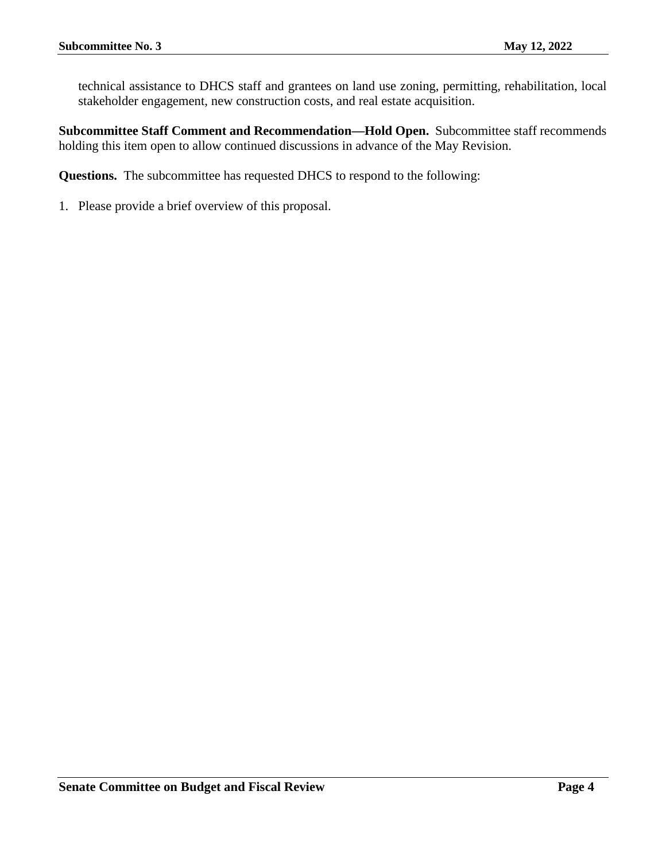technical assistance to DHCS staff and grantees on land use zoning, permitting, rehabilitation, local stakeholder engagement, new construction costs, and real estate acquisition.

**Subcommittee Staff Comment and Recommendation—Hold Open.** Subcommittee staff recommends holding this item open to allow continued discussions in advance of the May Revision.

**Questions.** The subcommittee has requested DHCS to respond to the following: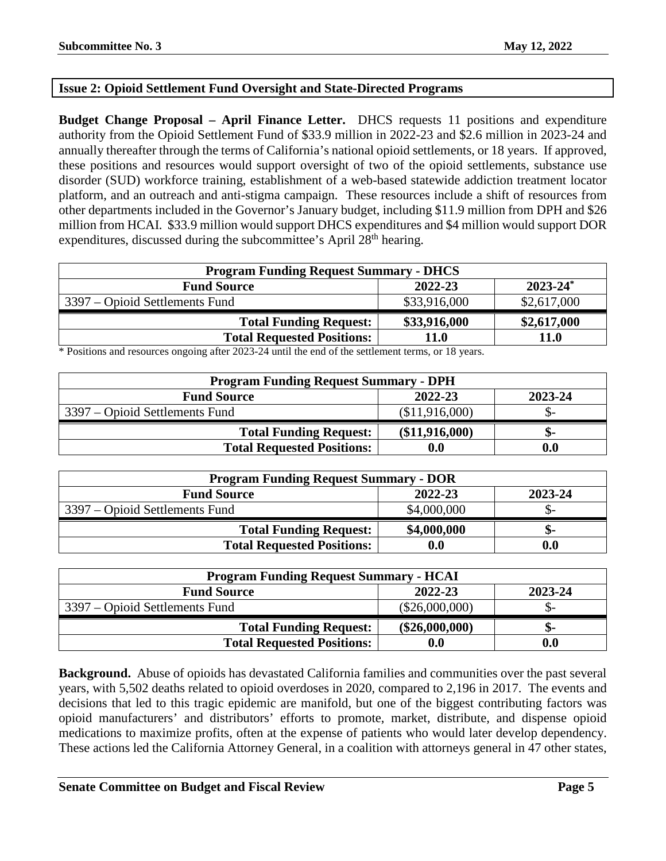# <span id="page-4-0"></span>**Issue 2: Opioid Settlement Fund Oversight and State-Directed Programs**

**Budget Change Proposal – April Finance Letter.** DHCS requests 11 positions and expenditure authority from the Opioid Settlement Fund of \$33.9 million in 2022-23 and \$2.6 million in 2023-24 and annually thereafter through the terms of California's national opioid settlements, or 18 years. If approved, these positions and resources would support oversight of two of the opioid settlements, substance use disorder (SUD) workforce training, establishment of a web-based statewide addiction treatment locator platform, and an outreach and anti-stigma campaign. These resources include a shift of resources from other departments included in the Governor's January budget, including \$11.9 million from DPH and \$26 million from HCAI. \$33.9 million would support DHCS expenditures and \$4 million would support DOR expenditures, discussed during the subcommittee's April 28<sup>th</sup> hearing.

| <b>Program Funding Request Summary - DHCS</b> |              |               |
|-----------------------------------------------|--------------|---------------|
| <b>Fund Source</b>                            | 2022-23      | $2023 - 24^*$ |
| 3397 – Opioid Settlements Fund                | \$33,916,000 | \$2,617,000   |
| <b>Total Funding Request:</b>                 | \$33,916,000 | \$2,617,000   |
| <b>Total Requested Positions:</b>             | 11.0         | 11.0          |

\* Positions and resources ongoing after 2023-24 until the end of the settlement terms, or 18 years.

| <b>Program Funding Request Summary - DPH</b> |                    |         |
|----------------------------------------------|--------------------|---------|
| <b>Fund Source</b>                           | 2022-23            | 2023-24 |
| 3397 – Opioid Settlements Fund               | (\$11,916,000)     | .D-     |
| <b>Total Funding Request:</b>                | (\$11,916,000)     | ת-      |
| <b>Total Requested Positions:</b>            | $\boldsymbol{0.0}$ | 0.0     |

| <b>Program Funding Request Summary - DOR</b> |             |         |
|----------------------------------------------|-------------|---------|
| <b>Fund Source</b>                           | 2022-23     | 2023-24 |
| 3397 – Opioid Settlements Fund               | \$4,000,000 |         |
| <b>Total Funding Request:</b>                | \$4,000,000 | ת –     |
| <b>Total Requested Positions:</b>            | 0.0         | 0.0     |

| <b>Program Funding Request Summary - HCAI</b> |                  |         |
|-----------------------------------------------|------------------|---------|
| <b>Fund Source</b>                            | 2022-23          | 2023-24 |
| 3397 – Opioid Settlements Fund                | $(\$26,000,000)$ | - O     |
| <b>Total Funding Request:</b>                 | $(\$26,000,000)$ | .ক-     |
| <b>Total Requested Positions:</b>             |                  | 0.0     |

**Background.** Abuse of opioids has devastated California families and communities over the past several years, with 5,502 deaths related to opioid overdoses in 2020, compared to 2,196 in 2017. The events and decisions that led to this tragic epidemic are manifold, but one of the biggest contributing factors was opioid manufacturers' and distributors' efforts to promote, market, distribute, and dispense opioid medications to maximize profits, often at the expense of patients who would later develop dependency. These actions led the California Attorney General, in a coalition with attorneys general in 47 other states,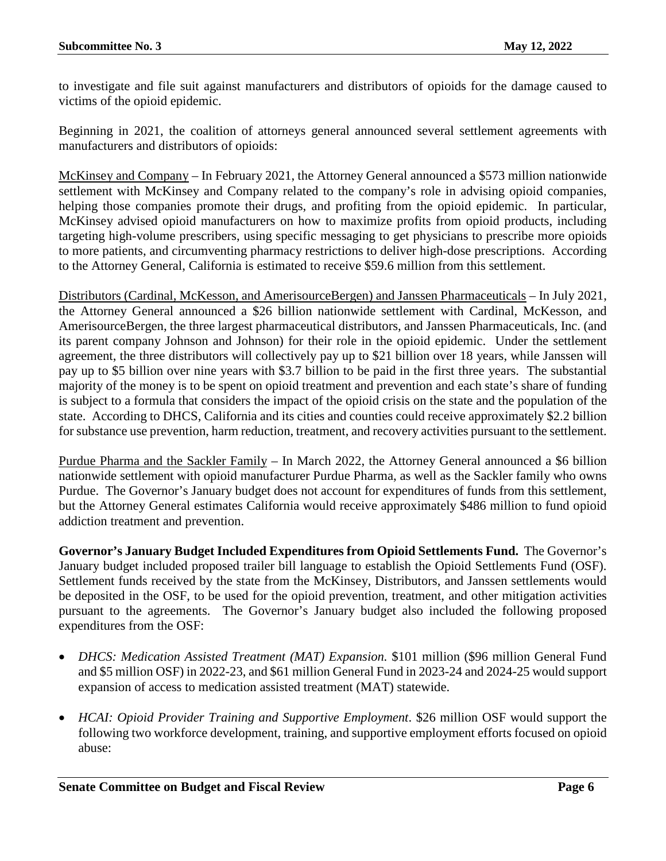to investigate and file suit against manufacturers and distributors of opioids for the damage caused to victims of the opioid epidemic.

Beginning in 2021, the coalition of attorneys general announced several settlement agreements with manufacturers and distributors of opioids:

McKinsey and Company – In February 2021, the Attorney General announced a \$573 million nationwide settlement with McKinsey and Company related to the company's role in advising opioid companies, helping those companies promote their drugs, and profiting from the opioid epidemic. In particular, McKinsey advised opioid manufacturers on how to maximize profits from opioid products, including targeting high-volume prescribers, using specific messaging to get physicians to prescribe more opioids to more patients, and circumventing pharmacy restrictions to deliver high-dose prescriptions. According to the Attorney General, California is estimated to receive \$59.6 million from this settlement.

Distributors (Cardinal, McKesson, and AmerisourceBergen) and Janssen Pharmaceuticals – In July 2021, the Attorney General announced a \$26 billion nationwide settlement with Cardinal, McKesson, and AmerisourceBergen, the three largest pharmaceutical distributors, and Janssen Pharmaceuticals, Inc. (and its parent company Johnson and Johnson) for their role in the opioid epidemic. Under the settlement agreement, the three distributors will collectively pay up to \$21 billion over 18 years, while Janssen will pay up to \$5 billion over nine years with \$3.7 billion to be paid in the first three years. The substantial majority of the money is to be spent on opioid treatment and prevention and each state's share of funding is subject to a formula that considers the impact of the opioid crisis on the state and the population of the state. According to DHCS, California and its cities and counties could receive approximately \$2.2 billion for substance use prevention, harm reduction, treatment, and recovery activities pursuant to the settlement.

Purdue Pharma and the Sackler Family – In March 2022, the Attorney General announced a \$6 billion nationwide settlement with opioid manufacturer Purdue Pharma, as well as the Sackler family who owns Purdue. The Governor's January budget does not account for expenditures of funds from this settlement, but the Attorney General estimates California would receive approximately \$486 million to fund opioid addiction treatment and prevention.

**Governor's January Budget Included Expenditures from Opioid Settlements Fund.** The Governor's January budget included proposed trailer bill language to establish the Opioid Settlements Fund (OSF). Settlement funds received by the state from the McKinsey, Distributors, and Janssen settlements would be deposited in the OSF, to be used for the opioid prevention, treatment, and other mitigation activities pursuant to the agreements. The Governor's January budget also included the following proposed expenditures from the OSF:

- *DHCS: Medication Assisted Treatment (MAT) Expansion.* \$101 million (\$96 million General Fund and \$5 million OSF) in 2022-23, and \$61 million General Fund in 2023-24 and 2024-25 would support expansion of access to medication assisted treatment (MAT) statewide.
- *HCAI: Opioid Provider Training and Supportive Employment*. \$26 million OSF would support the following two workforce development, training, and supportive employment efforts focused on opioid abuse: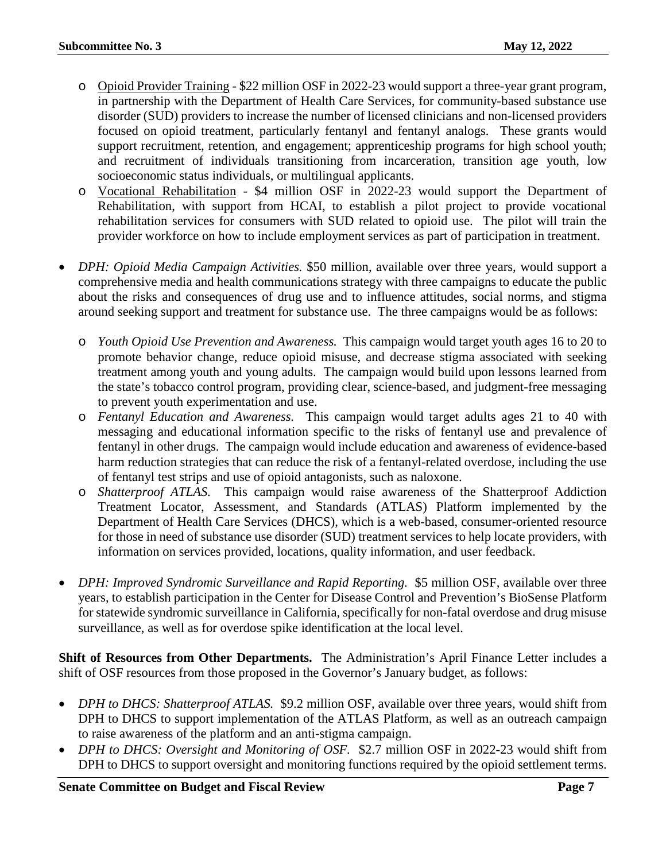- o Opioid Provider Training \$22 million OSF in 2022-23 would support a three-year grant program, in partnership with the Department of Health Care Services, for community-based substance use disorder (SUD) providers to increase the number of licensed clinicians and non-licensed providers focused on opioid treatment, particularly fentanyl and fentanyl analogs. These grants would support recruitment, retention, and engagement; apprenticeship programs for high school youth; and recruitment of individuals transitioning from incarceration, transition age youth, low socioeconomic status individuals, or multilingual applicants.
- o Vocational Rehabilitation \$4 million OSF in 2022-23 would support the Department of Rehabilitation, with support from HCAI, to establish a pilot project to provide vocational rehabilitation services for consumers with SUD related to opioid use. The pilot will train the provider workforce on how to include employment services as part of participation in treatment.
- *DPH: Opioid Media Campaign Activities.* \$50 million, available over three years, would support a comprehensive media and health communications strategy with three campaigns to educate the public about the risks and consequences of drug use and to influence attitudes, social norms, and stigma around seeking support and treatment for substance use. The three campaigns would be as follows:
	- o *Youth Opioid Use Prevention and Awareness.* This campaign would target youth ages 16 to 20 to promote behavior change, reduce opioid misuse, and decrease stigma associated with seeking treatment among youth and young adults. The campaign would build upon lessons learned from the state's tobacco control program, providing clear, science-based, and judgment-free messaging to prevent youth experimentation and use.
	- o *Fentanyl Education and Awareness.* This campaign would target adults ages 21 to 40 with messaging and educational information specific to the risks of fentanyl use and prevalence of fentanyl in other drugs. The campaign would include education and awareness of evidence-based harm reduction strategies that can reduce the risk of a fentanyl-related overdose, including the use of fentanyl test strips and use of opioid antagonists, such as naloxone.
	- o *Shatterproof ATLAS.* This campaign would raise awareness of the Shatterproof Addiction Treatment Locator, Assessment, and Standards (ATLAS) Platform implemented by the Department of Health Care Services (DHCS), which is a web-based, consumer-oriented resource for those in need of substance use disorder (SUD) treatment services to help locate providers, with information on services provided, locations, quality information, and user feedback.
- *DPH: Improved Syndromic Surveillance and Rapid Reporting.* \$5 million OSF, available over three years, to establish participation in the Center for Disease Control and Prevention's BioSense Platform for statewide syndromic surveillance in California, specifically for non-fatal overdose and drug misuse surveillance, as well as for overdose spike identification at the local level.

**Shift of Resources from Other Departments.** The Administration's April Finance Letter includes a shift of OSF resources from those proposed in the Governor's January budget, as follows:

- *DPH to DHCS: Shatterproof ATLAS.* \$9.2 million OSF, available over three years, would shift from DPH to DHCS to support implementation of the ATLAS Platform, as well as an outreach campaign to raise awareness of the platform and an anti-stigma campaign.
- *DPH to DHCS: Oversight and Monitoring of OSF.* \$2.7 million OSF in 2022-23 would shift from DPH to DHCS to support oversight and monitoring functions required by the opioid settlement terms.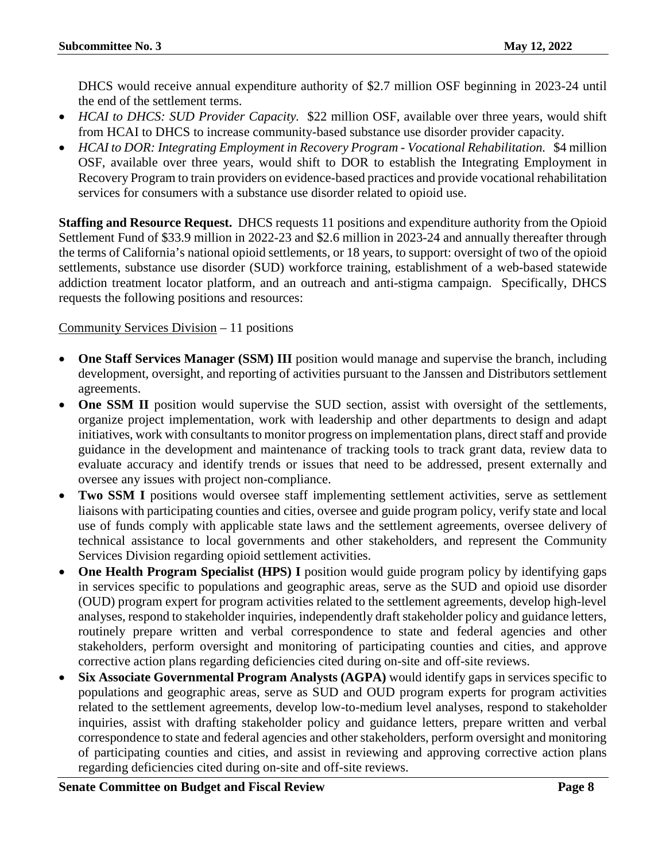DHCS would receive annual expenditure authority of \$2.7 million OSF beginning in 2023-24 until the end of the settlement terms.

- *HCAI to DHCS: SUD Provider Capacity.* \$22 million OSF, available over three years, would shift from HCAI to DHCS to increase community-based substance use disorder provider capacity.
- *HCAI to DOR: Integrating Employment in Recovery Program - Vocational Rehabilitation.* \$4 million OSF, available over three years, would shift to DOR to establish the Integrating Employment in Recovery Program to train providers on evidence-based practices and provide vocational rehabilitation services for consumers with a substance use disorder related to opioid use.

**Staffing and Resource Request.** DHCS requests 11 positions and expenditure authority from the Opioid Settlement Fund of \$33.9 million in 2022-23 and \$2.6 million in 2023-24 and annually thereafter through the terms of California's national opioid settlements, or 18 years, to support: oversight of two of the opioid settlements, substance use disorder (SUD) workforce training, establishment of a web-based statewide addiction treatment locator platform, and an outreach and anti-stigma campaign. Specifically, DHCS requests the following positions and resources:

# Community Services Division – 11 positions

- **One Staff Services Manager (SSM) III** position would manage and supervise the branch, including development, oversight, and reporting of activities pursuant to the Janssen and Distributors settlement agreements.
- **One SSM II** position would supervise the SUD section, assist with oversight of the settlements, organize project implementation, work with leadership and other departments to design and adapt initiatives, work with consultants to monitor progress on implementation plans, direct staff and provide guidance in the development and maintenance of tracking tools to track grant data, review data to evaluate accuracy and identify trends or issues that need to be addressed, present externally and oversee any issues with project non-compliance.
- **Two SSM I** positions would oversee staff implementing settlement activities, serve as settlement liaisons with participating counties and cities, oversee and guide program policy, verify state and local use of funds comply with applicable state laws and the settlement agreements, oversee delivery of technical assistance to local governments and other stakeholders, and represent the Community Services Division regarding opioid settlement activities.
- **One Health Program Specialist (HPS) I** position would guide program policy by identifying gaps in services specific to populations and geographic areas, serve as the SUD and opioid use disorder (OUD) program expert for program activities related to the settlement agreements, develop high-level analyses, respond to stakeholder inquiries, independently draft stakeholder policy and guidance letters, routinely prepare written and verbal correspondence to state and federal agencies and other stakeholders, perform oversight and monitoring of participating counties and cities, and approve corrective action plans regarding deficiencies cited during on-site and off-site reviews.
- **Six Associate Governmental Program Analysts (AGPA)** would identify gaps in services specific to populations and geographic areas, serve as SUD and OUD program experts for program activities related to the settlement agreements, develop low-to-medium level analyses, respond to stakeholder inquiries, assist with drafting stakeholder policy and guidance letters, prepare written and verbal correspondence to state and federal agencies and other stakeholders, perform oversight and monitoring of participating counties and cities, and assist in reviewing and approving corrective action plans regarding deficiencies cited during on-site and off-site reviews.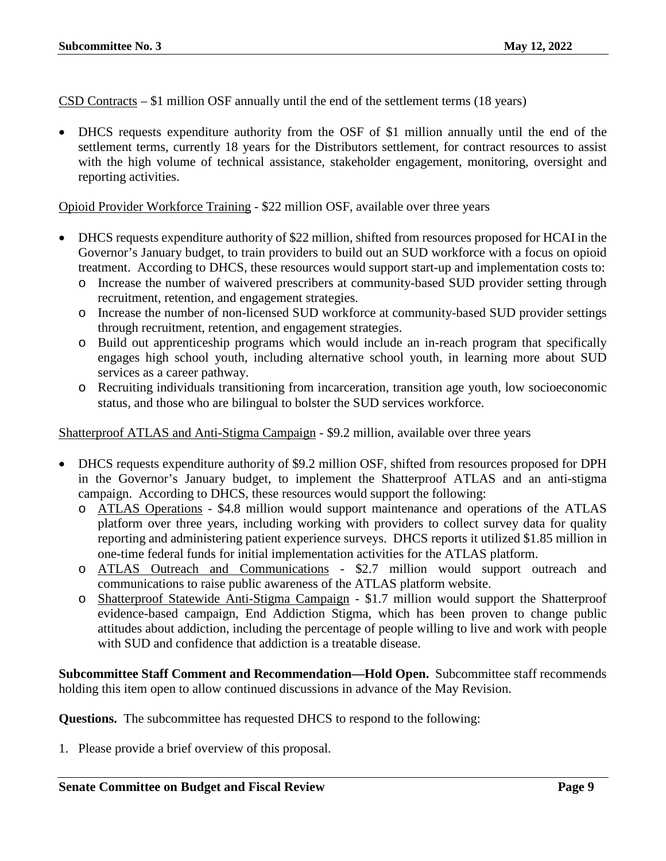CSD Contracts – \$1 million OSF annually until the end of the settlement terms (18 years)

• DHCS requests expenditure authority from the OSF of \$1 million annually until the end of the settlement terms, currently 18 years for the Distributors settlement, for contract resources to assist with the high volume of technical assistance, stakeholder engagement, monitoring, oversight and reporting activities.

Opioid Provider Workforce Training - \$22 million OSF, available over three years

- DHCS requests expenditure authority of \$22 million, shifted from resources proposed for HCAI in the Governor's January budget, to train providers to build out an SUD workforce with a focus on opioid treatment. According to DHCS, these resources would support start-up and implementation costs to:
	- o Increase the number of waivered prescribers at community-based SUD provider setting through recruitment, retention, and engagement strategies.
	- o Increase the number of non-licensed SUD workforce at community-based SUD provider settings through recruitment, retention, and engagement strategies.
	- o Build out apprenticeship programs which would include an in-reach program that specifically engages high school youth, including alternative school youth, in learning more about SUD services as a career pathway.
	- o Recruiting individuals transitioning from incarceration, transition age youth, low socioeconomic status, and those who are bilingual to bolster the SUD services workforce.

Shatterproof ATLAS and Anti-Stigma Campaign - \$9.2 million, available over three years

- DHCS requests expenditure authority of \$9.2 million OSF, shifted from resources proposed for DPH in the Governor's January budget, to implement the Shatterproof ATLAS and an anti-stigma campaign. According to DHCS, these resources would support the following:
	- o ATLAS Operations \$4.8 million would support maintenance and operations of the ATLAS platform over three years, including working with providers to collect survey data for quality reporting and administering patient experience surveys. DHCS reports it utilized \$1.85 million in one-time federal funds for initial implementation activities for the ATLAS platform.
	- o ATLAS Outreach and Communications \$2.7 million would support outreach and communications to raise public awareness of the ATLAS platform website.
	- o Shatterproof Statewide Anti-Stigma Campaign \$1.7 million would support the Shatterproof evidence-based campaign, End Addiction Stigma, which has been proven to change public attitudes about addiction, including the percentage of people willing to live and work with people with SUD and confidence that addiction is a treatable disease.

**Subcommittee Staff Comment and Recommendation—Hold Open.** Subcommittee staff recommends holding this item open to allow continued discussions in advance of the May Revision.

**Questions.** The subcommittee has requested DHCS to respond to the following: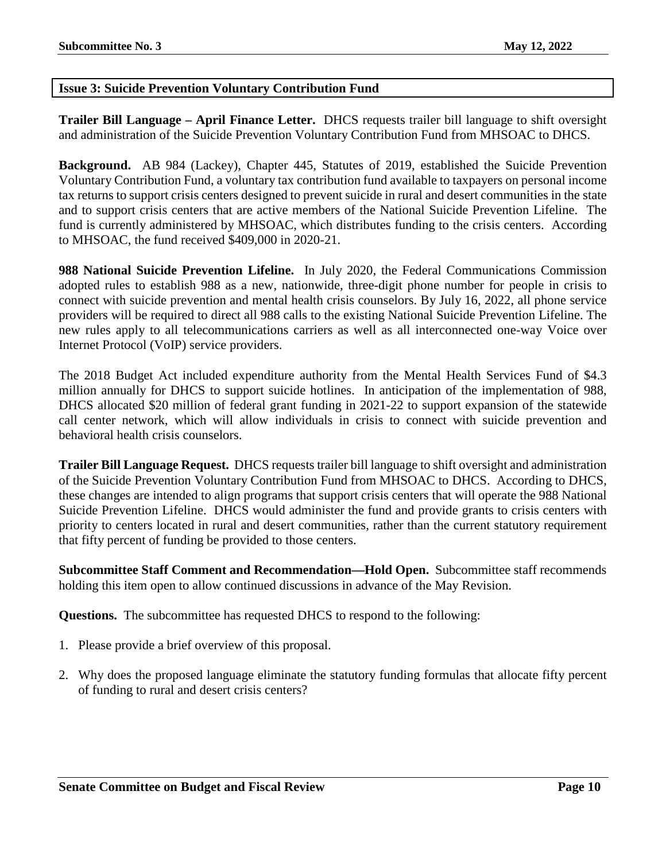# <span id="page-9-0"></span>**Issue 3: Suicide Prevention Voluntary Contribution Fund**

**Trailer Bill Language – April Finance Letter.** DHCS requests trailer bill language to shift oversight and administration of the Suicide Prevention Voluntary Contribution Fund from MHSOAC to DHCS.

**Background.** AB 984 (Lackey), Chapter 445, Statutes of 2019, established the Suicide Prevention Voluntary Contribution Fund, a voluntary tax contribution fund available to taxpayers on personal income tax returns to support crisis centers designed to prevent suicide in rural and desert communities in the state and to support crisis centers that are active members of the National Suicide Prevention Lifeline. The fund is currently administered by MHSOAC, which distributes funding to the crisis centers. According to MHSOAC, the fund received \$409,000 in 2020-21.

**988 National Suicide Prevention Lifeline.** In July 2020, the Federal Communications Commission adopted rules to establish 988 as a new, nationwide, three-digit phone number for people in crisis to connect with suicide prevention and mental health crisis counselors. By July 16, 2022, all phone service providers will be required to direct all 988 calls to the existing National Suicide Prevention Lifeline. The new rules apply to all telecommunications carriers as well as all interconnected one-way Voice over Internet Protocol (VoIP) service providers.

The 2018 Budget Act included expenditure authority from the Mental Health Services Fund of \$4.3 million annually for DHCS to support suicide hotlines. In anticipation of the implementation of 988, DHCS allocated \$20 million of federal grant funding in 2021-22 to support expansion of the statewide call center network, which will allow individuals in crisis to connect with suicide prevention and behavioral health crisis counselors.

**Trailer Bill Language Request.** DHCS requests trailer bill language to shift oversight and administration of the Suicide Prevention Voluntary Contribution Fund from MHSOAC to DHCS. According to DHCS, these changes are intended to align programs that support crisis centers that will operate the 988 National Suicide Prevention Lifeline. DHCS would administer the fund and provide grants to crisis centers with priority to centers located in rural and desert communities, rather than the current statutory requirement that fifty percent of funding be provided to those centers.

**Subcommittee Staff Comment and Recommendation—Hold Open.** Subcommittee staff recommends holding this item open to allow continued discussions in advance of the May Revision.

**Questions.** The subcommittee has requested DHCS to respond to the following:

- 1. Please provide a brief overview of this proposal.
- 2. Why does the proposed language eliminate the statutory funding formulas that allocate fifty percent of funding to rural and desert crisis centers?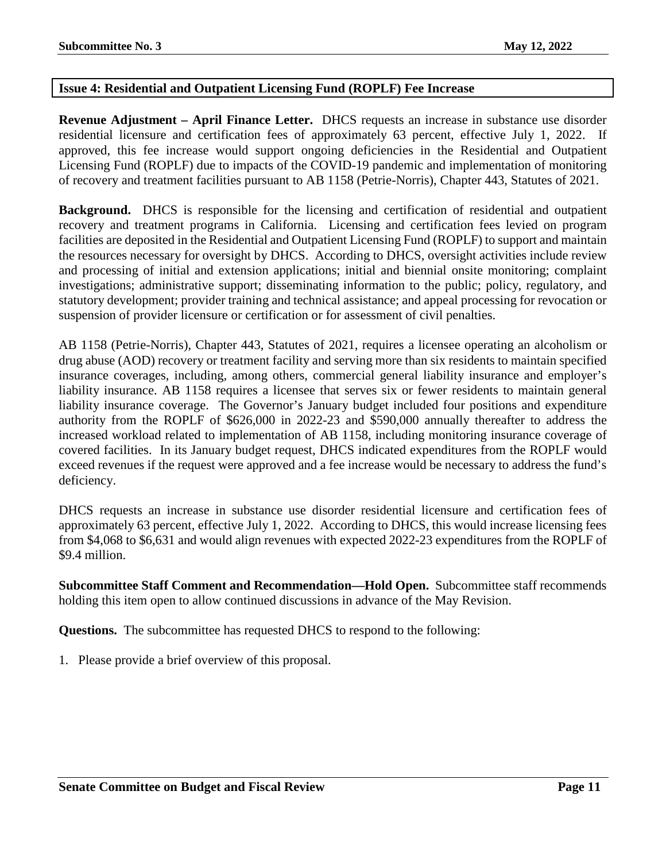# <span id="page-10-0"></span>**Issue 4: Residential and Outpatient Licensing Fund (ROPLF) Fee Increase**

**Revenue Adjustment – April Finance Letter.** DHCS requests an increase in substance use disorder residential licensure and certification fees of approximately 63 percent, effective July 1, 2022. If approved, this fee increase would support ongoing deficiencies in the Residential and Outpatient Licensing Fund (ROPLF) due to impacts of the COVID-19 pandemic and implementation of monitoring of recovery and treatment facilities pursuant to AB 1158 (Petrie-Norris), Chapter 443, Statutes of 2021.

**Background.** DHCS is responsible for the licensing and certification of residential and outpatient recovery and treatment programs in California. Licensing and certification fees levied on program facilities are deposited in the Residential and Outpatient Licensing Fund (ROPLF) to support and maintain the resources necessary for oversight by DHCS. According to DHCS, oversight activities include review and processing of initial and extension applications; initial and biennial onsite monitoring; complaint investigations; administrative support; disseminating information to the public; policy, regulatory, and statutory development; provider training and technical assistance; and appeal processing for revocation or suspension of provider licensure or certification or for assessment of civil penalties.

AB 1158 (Petrie-Norris), Chapter 443, Statutes of 2021, requires a licensee operating an alcoholism or drug abuse (AOD) recovery or treatment facility and serving more than six residents to maintain specified insurance coverages, including, among others, commercial general liability insurance and employer's liability insurance. AB 1158 requires a licensee that serves six or fewer residents to maintain general liability insurance coverage. The Governor's January budget included four positions and expenditure authority from the ROPLF of \$626,000 in 2022-23 and \$590,000 annually thereafter to address the increased workload related to implementation of AB 1158, including monitoring insurance coverage of covered facilities. In its January budget request, DHCS indicated expenditures from the ROPLF would exceed revenues if the request were approved and a fee increase would be necessary to address the fund's deficiency.

DHCS requests an increase in substance use disorder residential licensure and certification fees of approximately 63 percent, effective July 1, 2022. According to DHCS, this would increase licensing fees from \$4,068 to \$6,631 and would align revenues with expected 2022-23 expenditures from the ROPLF of \$9.4 million.

**Subcommittee Staff Comment and Recommendation—Hold Open.** Subcommittee staff recommends holding this item open to allow continued discussions in advance of the May Revision.

**Questions.** The subcommittee has requested DHCS to respond to the following: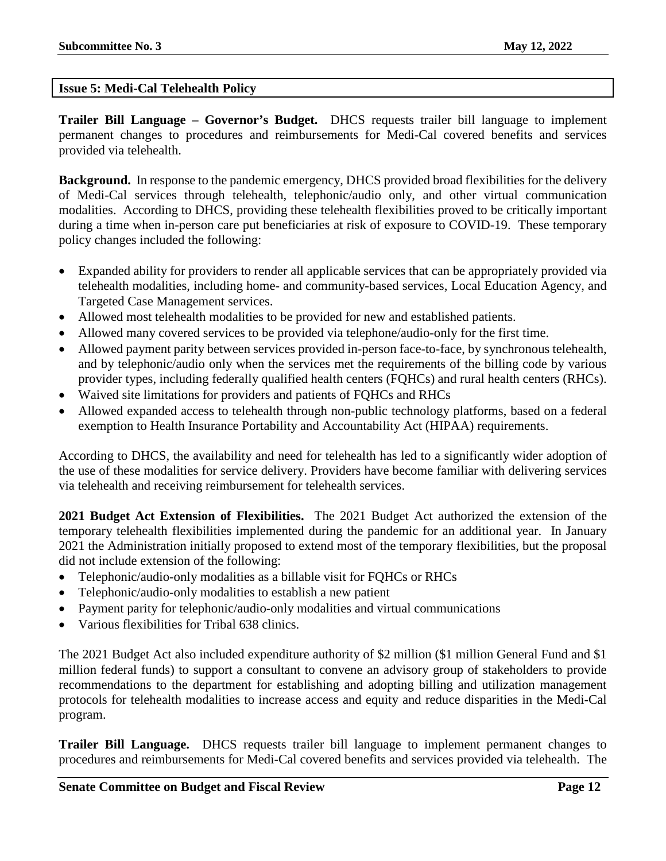# <span id="page-11-0"></span>**Issue 5: Medi-Cal Telehealth Policy**

**Trailer Bill Language – Governor's Budget.** DHCS requests trailer bill language to implement permanent changes to procedures and reimbursements for Medi-Cal covered benefits and services provided via telehealth.

**Background.** In response to the pandemic emergency, DHCS provided broad flexibilities for the delivery of Medi-Cal services through telehealth, telephonic/audio only, and other virtual communication modalities. According to DHCS, providing these telehealth flexibilities proved to be critically important during a time when in-person care put beneficiaries at risk of exposure to COVID-19. These temporary policy changes included the following:

- Expanded ability for providers to render all applicable services that can be appropriately provided via telehealth modalities, including home- and community-based services, Local Education Agency, and Targeted Case Management services.
- Allowed most telehealth modalities to be provided for new and established patients.
- Allowed many covered services to be provided via telephone/audio-only for the first time.
- Allowed payment parity between services provided in-person face-to-face, by synchronous telehealth, and by telephonic/audio only when the services met the requirements of the billing code by various provider types, including federally qualified health centers (FQHCs) and rural health centers (RHCs).
- Waived site limitations for providers and patients of FQHCs and RHCs
- Allowed expanded access to telehealth through non-public technology platforms, based on a federal exemption to Health Insurance Portability and Accountability Act (HIPAA) requirements.

According to DHCS, the availability and need for telehealth has led to a significantly wider adoption of the use of these modalities for service delivery. Providers have become familiar with delivering services via telehealth and receiving reimbursement for telehealth services.

**2021 Budget Act Extension of Flexibilities.** The 2021 Budget Act authorized the extension of the temporary telehealth flexibilities implemented during the pandemic for an additional year. In January 2021 the Administration initially proposed to extend most of the temporary flexibilities, but the proposal did not include extension of the following:

- Telephonic/audio-only modalities as a billable visit for FQHCs or RHCs
- Telephonic/audio-only modalities to establish a new patient
- Payment parity for telephonic/audio-only modalities and virtual communications
- Various flexibilities for Tribal 638 clinics.

The 2021 Budget Act also included expenditure authority of \$2 million (\$1 million General Fund and \$1 million federal funds) to support a consultant to convene an advisory group of stakeholders to provide recommendations to the department for establishing and adopting billing and utilization management protocols for telehealth modalities to increase access and equity and reduce disparities in the Medi-Cal program.

**Trailer Bill Language.** DHCS requests trailer bill language to implement permanent changes to procedures and reimbursements for Medi-Cal covered benefits and services provided via telehealth. The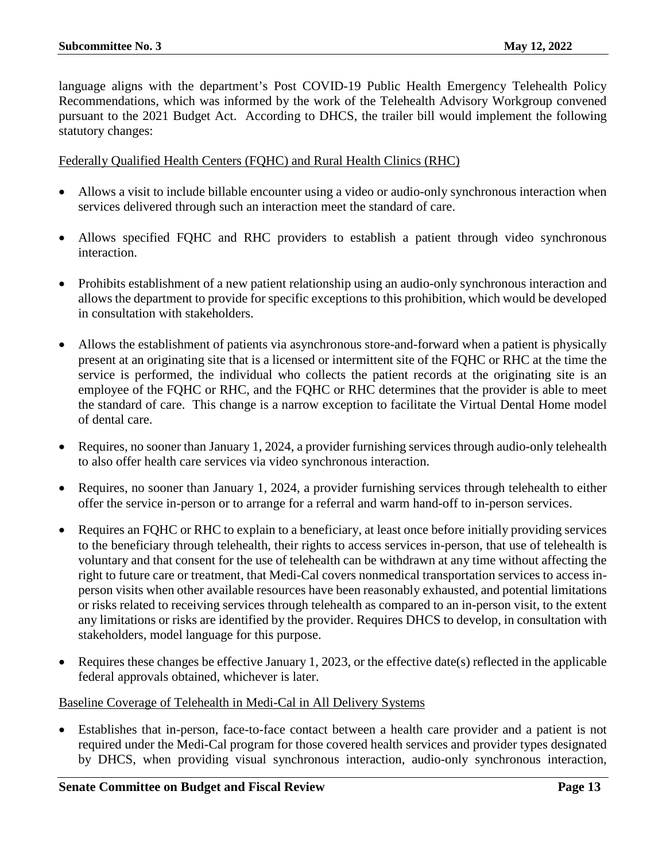language aligns with the department's Post COVID-19 Public Health Emergency Telehealth Policy Recommendations, which was informed by the work of the Telehealth Advisory Workgroup convened pursuant to the 2021 Budget Act. According to DHCS, the trailer bill would implement the following statutory changes:

# Federally Qualified Health Centers (FQHC) and Rural Health Clinics (RHC)

- Allows a visit to include billable encounter using a video or audio-only synchronous interaction when services delivered through such an interaction meet the standard of care.
- Allows specified FQHC and RHC providers to establish a patient through video synchronous interaction.
- Prohibits establishment of a new patient relationship using an audio-only synchronous interaction and allows the department to provide for specific exceptions to this prohibition, which would be developed in consultation with stakeholders.
- Allows the establishment of patients via asynchronous store-and-forward when a patient is physically present at an originating site that is a licensed or intermittent site of the FQHC or RHC at the time the service is performed, the individual who collects the patient records at the originating site is an employee of the FQHC or RHC, and the FQHC or RHC determines that the provider is able to meet the standard of care. This change is a narrow exception to facilitate the Virtual Dental Home model of dental care.
- Requires, no sooner than January 1, 2024, a provider furnishing services through audio-only telehealth to also offer health care services via video synchronous interaction.
- Requires, no sooner than January 1, 2024, a provider furnishing services through telehealth to either offer the service in-person or to arrange for a referral and warm hand-off to in-person services.
- Requires an FQHC or RHC to explain to a beneficiary, at least once before initially providing services to the beneficiary through telehealth, their rights to access services in-person, that use of telehealth is voluntary and that consent for the use of telehealth can be withdrawn at any time without affecting the right to future care or treatment, that Medi-Cal covers nonmedical transportation services to access inperson visits when other available resources have been reasonably exhausted, and potential limitations or risks related to receiving services through telehealth as compared to an in-person visit, to the extent any limitations or risks are identified by the provider. Requires DHCS to develop, in consultation with stakeholders, model language for this purpose.
- Requires these changes be effective January 1, 2023, or the effective date(s) reflected in the applicable federal approvals obtained, whichever is later.

# Baseline Coverage of Telehealth in Medi-Cal in All Delivery Systems

• Establishes that in-person, face-to-face contact between a health care provider and a patient is not required under the Medi-Cal program for those covered health services and provider types designated by DHCS, when providing visual synchronous interaction, audio-only synchronous interaction,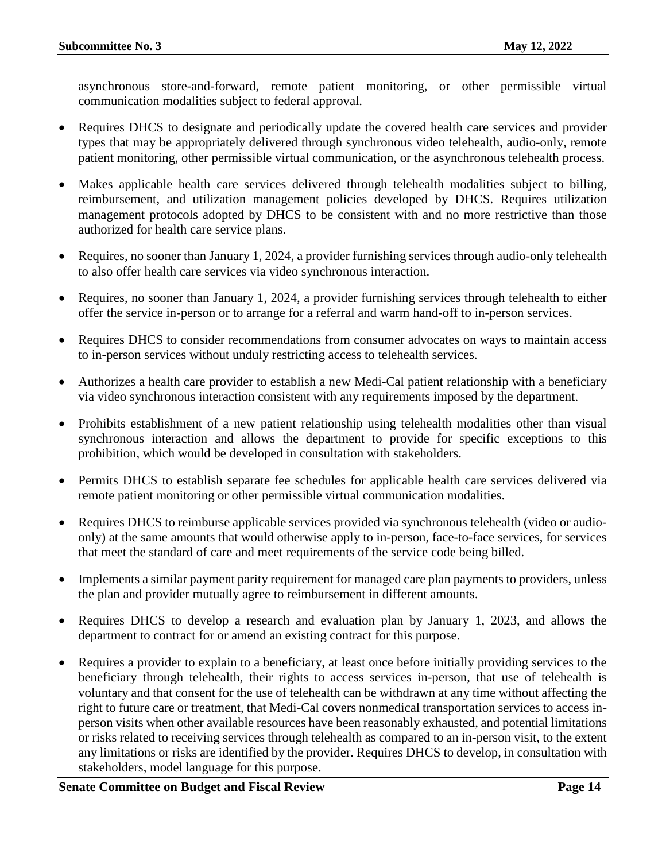asynchronous store-and-forward, remote patient monitoring, or other permissible virtual communication modalities subject to federal approval.

- Requires DHCS to designate and periodically update the covered health care services and provider types that may be appropriately delivered through synchronous video telehealth, audio-only, remote patient monitoring, other permissible virtual communication, or the asynchronous telehealth process.
- Makes applicable health care services delivered through telehealth modalities subject to billing, reimbursement, and utilization management policies developed by DHCS. Requires utilization management protocols adopted by DHCS to be consistent with and no more restrictive than those authorized for health care service plans.
- Requires, no sooner than January 1, 2024, a provider furnishing services through audio-only telehealth to also offer health care services via video synchronous interaction.
- Requires, no sooner than January 1, 2024, a provider furnishing services through telehealth to either offer the service in-person or to arrange for a referral and warm hand-off to in-person services.
- Requires DHCS to consider recommendations from consumer advocates on ways to maintain access to in-person services without unduly restricting access to telehealth services.
- Authorizes a health care provider to establish a new Medi-Cal patient relationship with a beneficiary via video synchronous interaction consistent with any requirements imposed by the department.
- Prohibits establishment of a new patient relationship using telehealth modalities other than visual synchronous interaction and allows the department to provide for specific exceptions to this prohibition, which would be developed in consultation with stakeholders.
- Permits DHCS to establish separate fee schedules for applicable health care services delivered via remote patient monitoring or other permissible virtual communication modalities.
- Requires DHCS to reimburse applicable services provided via synchronous telehealth (video or audioonly) at the same amounts that would otherwise apply to in-person, face-to-face services, for services that meet the standard of care and meet requirements of the service code being billed.
- Implements a similar payment parity requirement for managed care plan payments to providers, unless the plan and provider mutually agree to reimbursement in different amounts.
- Requires DHCS to develop a research and evaluation plan by January 1, 2023, and allows the department to contract for or amend an existing contract for this purpose.
- Requires a provider to explain to a beneficiary, at least once before initially providing services to the beneficiary through telehealth, their rights to access services in-person, that use of telehealth is voluntary and that consent for the use of telehealth can be withdrawn at any time without affecting the right to future care or treatment, that Medi-Cal covers nonmedical transportation services to access inperson visits when other available resources have been reasonably exhausted, and potential limitations or risks related to receiving services through telehealth as compared to an in-person visit, to the extent any limitations or risks are identified by the provider. Requires DHCS to develop, in consultation with stakeholders, model language for this purpose.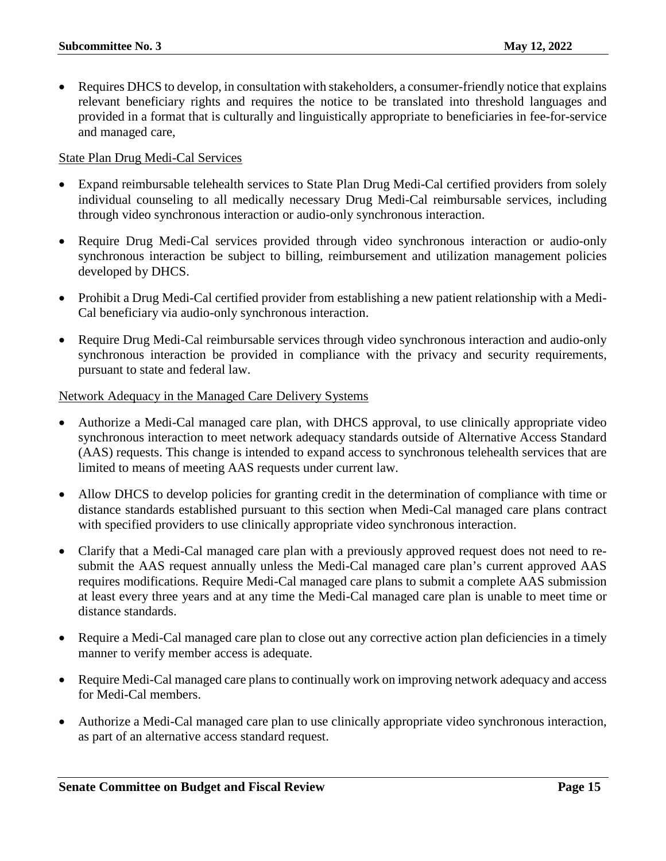• Requires DHCS to develop, in consultation with stakeholders, a consumer-friendly notice that explains relevant beneficiary rights and requires the notice to be translated into threshold languages and provided in a format that is culturally and linguistically appropriate to beneficiaries in fee-for-service and managed care,

#### State Plan Drug Medi-Cal Services

- Expand reimbursable telehealth services to State Plan Drug Medi-Cal certified providers from solely individual counseling to all medically necessary Drug Medi-Cal reimbursable services, including through video synchronous interaction or audio-only synchronous interaction.
- Require Drug Medi-Cal services provided through video synchronous interaction or audio-only synchronous interaction be subject to billing, reimbursement and utilization management policies developed by DHCS.
- Prohibit a Drug Medi-Cal certified provider from establishing a new patient relationship with a Medi-Cal beneficiary via audio-only synchronous interaction.
- Require Drug Medi-Cal reimbursable services through video synchronous interaction and audio-only synchronous interaction be provided in compliance with the privacy and security requirements, pursuant to state and federal law.

#### Network Adequacy in the Managed Care Delivery Systems

- Authorize a Medi-Cal managed care plan, with DHCS approval, to use clinically appropriate video synchronous interaction to meet network adequacy standards outside of Alternative Access Standard (AAS) requests. This change is intended to expand access to synchronous telehealth services that are limited to means of meeting AAS requests under current law.
- Allow DHCS to develop policies for granting credit in the determination of compliance with time or distance standards established pursuant to this section when Medi-Cal managed care plans contract with specified providers to use clinically appropriate video synchronous interaction.
- Clarify that a Medi-Cal managed care plan with a previously approved request does not need to resubmit the AAS request annually unless the Medi-Cal managed care plan's current approved AAS requires modifications. Require Medi-Cal managed care plans to submit a complete AAS submission at least every three years and at any time the Medi-Cal managed care plan is unable to meet time or distance standards.
- Require a Medi-Cal managed care plan to close out any corrective action plan deficiencies in a timely manner to verify member access is adequate.
- Require Medi-Cal managed care plans to continually work on improving network adequacy and access for Medi-Cal members.
- Authorize a Medi-Cal managed care plan to use clinically appropriate video synchronous interaction, as part of an alternative access standard request.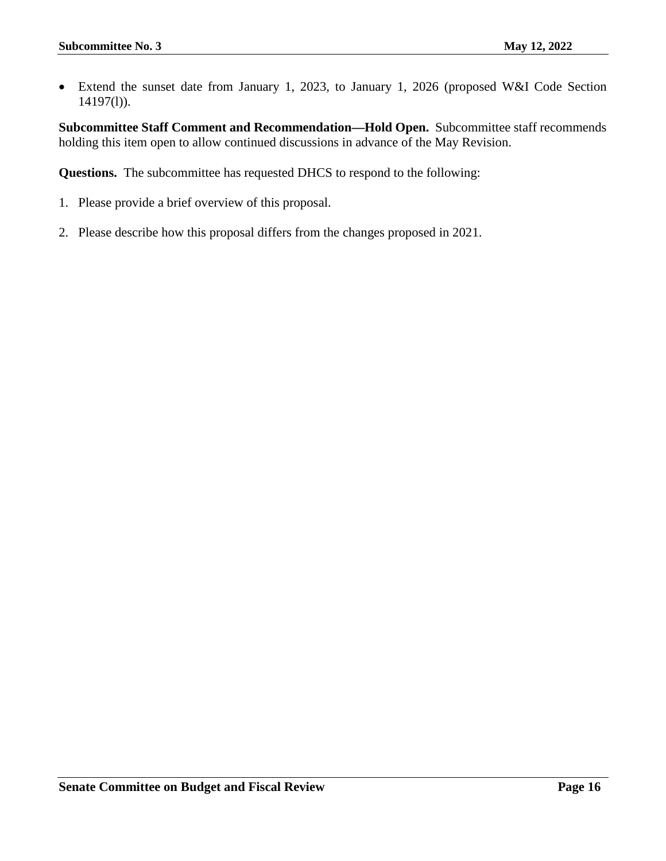• Extend the sunset date from January 1, 2023, to January 1, 2026 (proposed W&I Code Section 14197(l)).

**Subcommittee Staff Comment and Recommendation—Hold Open.** Subcommittee staff recommends holding this item open to allow continued discussions in advance of the May Revision.

**Questions.** The subcommittee has requested DHCS to respond to the following:

- 1. Please provide a brief overview of this proposal.
- 2. Please describe how this proposal differs from the changes proposed in 2021.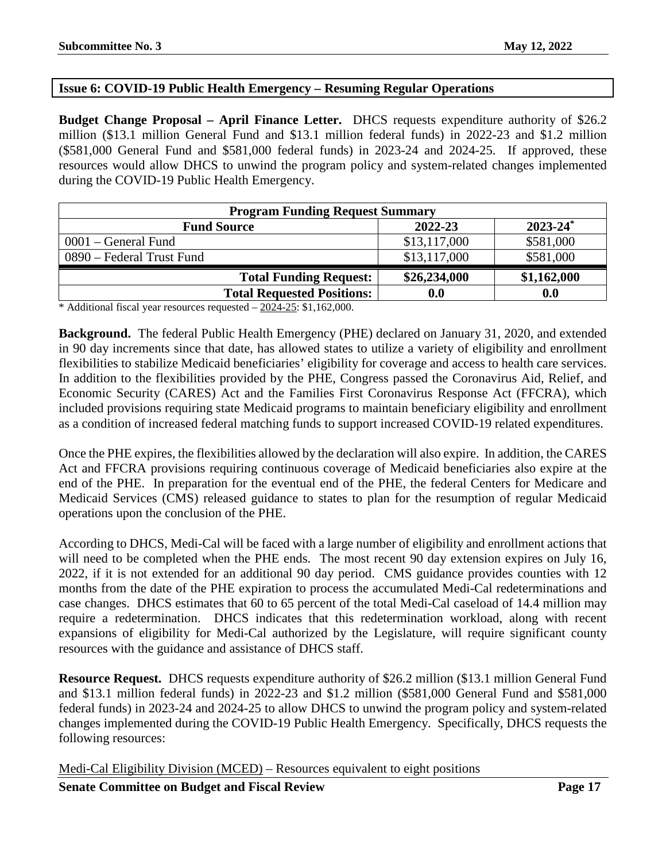# <span id="page-16-0"></span>**Issue 6: COVID-19 Public Health Emergency – Resuming Regular Operations**

**Budget Change Proposal – April Finance Letter.** DHCS requests expenditure authority of \$26.2 million (\$13.1 million General Fund and \$13.1 million federal funds) in 2022-23 and \$1.2 million (\$581,000 General Fund and \$581,000 federal funds) in 2023-24 and 2024-25. If approved, these resources would allow DHCS to unwind the program policy and system-related changes implemented during the COVID-19 Public Health Emergency.

| <b>Program Funding Request Summary</b> |              |                          |
|----------------------------------------|--------------|--------------------------|
| <b>Fund Source</b>                     | 2022-23      | $2023 - 24$ <sup>*</sup> |
| $0001$ – General Fund                  | \$13,117,000 | \$581,000                |
| 0890 – Federal Trust Fund              | \$13,117,000 | \$581,000                |
| <b>Total Funding Request:</b>          | \$26,234,000 | \$1,162,000              |
| <b>Total Requested Positions:</b>      | 0.0          | 0.0                      |

\* Additional fiscal year resources requested – 2024-25: \$1,162,000.

**Background.** The federal Public Health Emergency (PHE) declared on January 31, 2020, and extended in 90 day increments since that date, has allowed states to utilize a variety of eligibility and enrollment flexibilities to stabilize Medicaid beneficiaries' eligibility for coverage and access to health care services. In addition to the flexibilities provided by the PHE, Congress passed the Coronavirus Aid, Relief, and Economic Security (CARES) Act and the Families First Coronavirus Response Act (FFCRA), which included provisions requiring state Medicaid programs to maintain beneficiary eligibility and enrollment as a condition of increased federal matching funds to support increased COVID-19 related expenditures.

Once the PHE expires, the flexibilities allowed by the declaration will also expire. In addition, the CARES Act and FFCRA provisions requiring continuous coverage of Medicaid beneficiaries also expire at the end of the PHE. In preparation for the eventual end of the PHE, the federal Centers for Medicare and Medicaid Services (CMS) released guidance to states to plan for the resumption of regular Medicaid operations upon the conclusion of the PHE.

According to DHCS, Medi-Cal will be faced with a large number of eligibility and enrollment actions that will need to be completed when the PHE ends. The most recent 90 day extension expires on July 16, 2022, if it is not extended for an additional 90 day period. CMS guidance provides counties with 12 months from the date of the PHE expiration to process the accumulated Medi-Cal redeterminations and case changes. DHCS estimates that 60 to 65 percent of the total Medi-Cal caseload of 14.4 million may require a redetermination. DHCS indicates that this redetermination workload, along with recent expansions of eligibility for Medi-Cal authorized by the Legislature, will require significant county resources with the guidance and assistance of DHCS staff.

**Resource Request.** DHCS requests expenditure authority of \$26.2 million (\$13.1 million General Fund and \$13.1 million federal funds) in 2022-23 and \$1.2 million (\$581,000 General Fund and \$581,000 federal funds) in 2023-24 and 2024-25 to allow DHCS to unwind the program policy and system-related changes implemented during the COVID-19 Public Health Emergency. Specifically, DHCS requests the following resources:

Medi-Cal Eligibility Division (MCED) – Resources equivalent to eight positions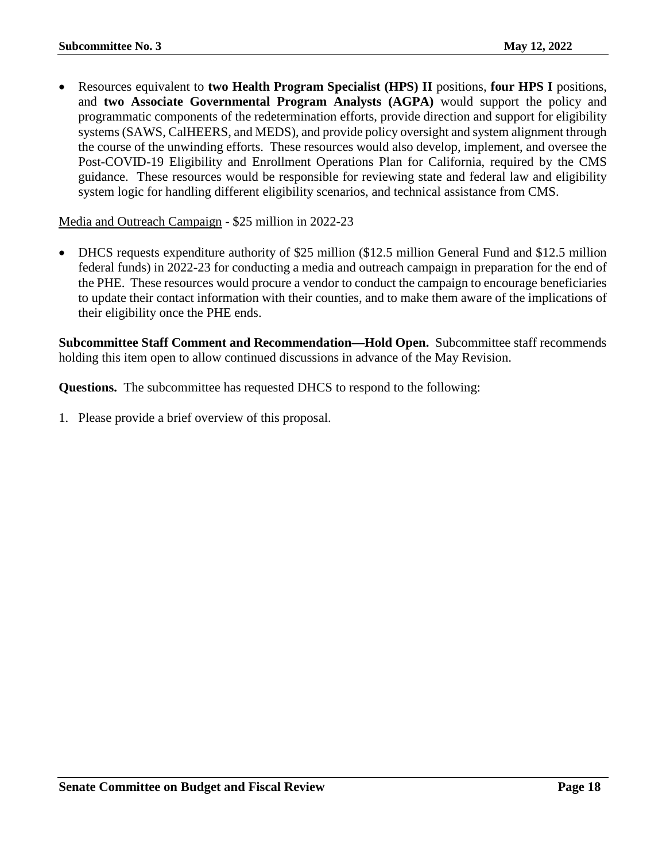• Resources equivalent to **two Health Program Specialist (HPS) II** positions, **four HPS I** positions, and **two Associate Governmental Program Analysts (AGPA)** would support the policy and programmatic components of the redetermination efforts, provide direction and support for eligibility systems (SAWS, CalHEERS, and MEDS), and provide policy oversight and system alignment through the course of the unwinding efforts. These resources would also develop, implement, and oversee the Post-COVID-19 Eligibility and Enrollment Operations Plan for California, required by the CMS guidance. These resources would be responsible for reviewing state and federal law and eligibility system logic for handling different eligibility scenarios, and technical assistance from CMS.

Media and Outreach Campaign - \$25 million in 2022-23

• DHCS requests expenditure authority of \$25 million (\$12.5 million General Fund and \$12.5 million federal funds) in 2022-23 for conducting a media and outreach campaign in preparation for the end of the PHE. These resources would procure a vendor to conduct the campaign to encourage beneficiaries to update their contact information with their counties, and to make them aware of the implications of their eligibility once the PHE ends.

**Subcommittee Staff Comment and Recommendation—Hold Open.** Subcommittee staff recommends holding this item open to allow continued discussions in advance of the May Revision.

**Questions.** The subcommittee has requested DHCS to respond to the following: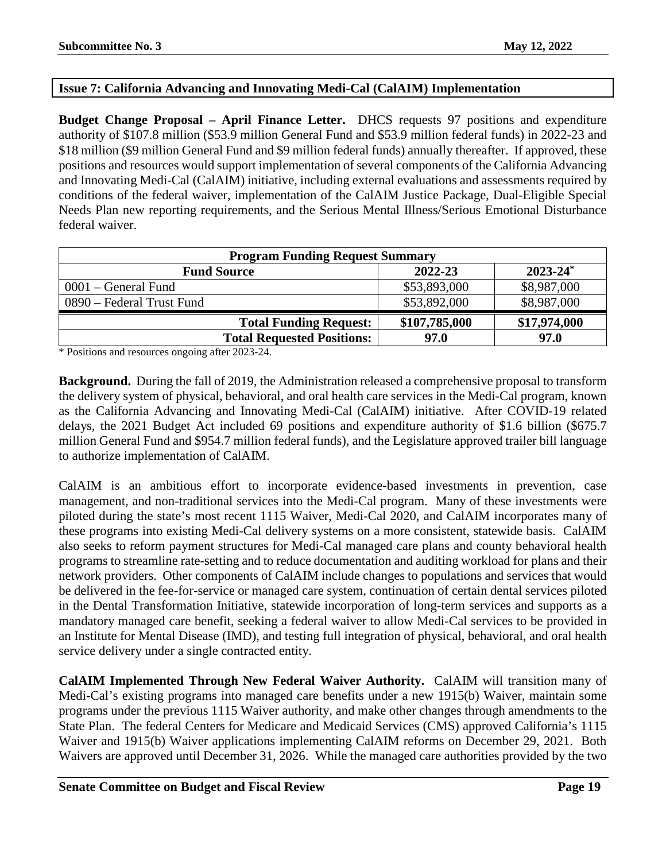# <span id="page-18-0"></span>**Issue 7: California Advancing and Innovating Medi-Cal (CalAIM) Implementation**

**Budget Change Proposal – April Finance Letter.** DHCS requests 97 positions and expenditure authority of \$107.8 million (\$53.9 million General Fund and \$53.9 million federal funds) in 2022-23 and \$18 million (\$9 million General Fund and \$9 million federal funds) annually thereafter. If approved, these positions and resources would support implementation of several components of the California Advancing and Innovating Medi-Cal (CalAIM) initiative, including external evaluations and assessments required by conditions of the federal waiver, implementation of the CalAIM Justice Package, Dual-Eligible Special Needs Plan new reporting requirements, and the Serious Mental Illness/Serious Emotional Disturbance federal waiver.

| <b>Program Funding Request Summary</b> |               |               |
|----------------------------------------|---------------|---------------|
| <b>Fund Source</b>                     | 2022-23       | $2023 - 24^*$ |
| $0001$ – General Fund                  | \$53,893,000  | \$8,987,000   |
| 0890 – Federal Trust Fund              | \$53,892,000  | \$8,987,000   |
| <b>Total Funding Request:</b>          | \$107,785,000 | \$17,974,000  |
| <b>Total Requested Positions:</b>      | 97.0          | 97.0          |

\* Positions and resources ongoing after 2023-24.

**Background.** During the fall of 2019, the Administration released a comprehensive proposal to transform the delivery system of physical, behavioral, and oral health care services in the Medi-Cal program, known as the California Advancing and Innovating Medi-Cal (CalAIM) initiative. After COVID-19 related delays, the 2021 Budget Act included 69 positions and expenditure authority of \$1.6 billion (\$675.7 million General Fund and \$954.7 million federal funds), and the Legislature approved trailer bill language to authorize implementation of CalAIM.

CalAIM is an ambitious effort to incorporate evidence-based investments in prevention, case management, and non-traditional services into the Medi-Cal program. Many of these investments were piloted during the state's most recent 1115 Waiver, Medi-Cal 2020, and CalAIM incorporates many of these programs into existing Medi-Cal delivery systems on a more consistent, statewide basis. CalAIM also seeks to reform payment structures for Medi-Cal managed care plans and county behavioral health programs to streamline rate-setting and to reduce documentation and auditing workload for plans and their network providers. Other components of CalAIM include changes to populations and services that would be delivered in the fee-for-service or managed care system, continuation of certain dental services piloted in the Dental Transformation Initiative, statewide incorporation of long-term services and supports as a mandatory managed care benefit, seeking a federal waiver to allow Medi-Cal services to be provided in an Institute for Mental Disease (IMD), and testing full integration of physical, behavioral, and oral health service delivery under a single contracted entity.

**CalAIM Implemented Through New Federal Waiver Authority.** CalAIM will transition many of Medi-Cal's existing programs into managed care benefits under a new 1915(b) Waiver, maintain some programs under the previous 1115 Waiver authority, and make other changes through amendments to the State Plan. The federal Centers for Medicare and Medicaid Services (CMS) approved California's 1115 Waiver and 1915(b) Waiver applications implementing CalAIM reforms on December 29, 2021. Both Waivers are approved until December 31, 2026. While the managed care authorities provided by the two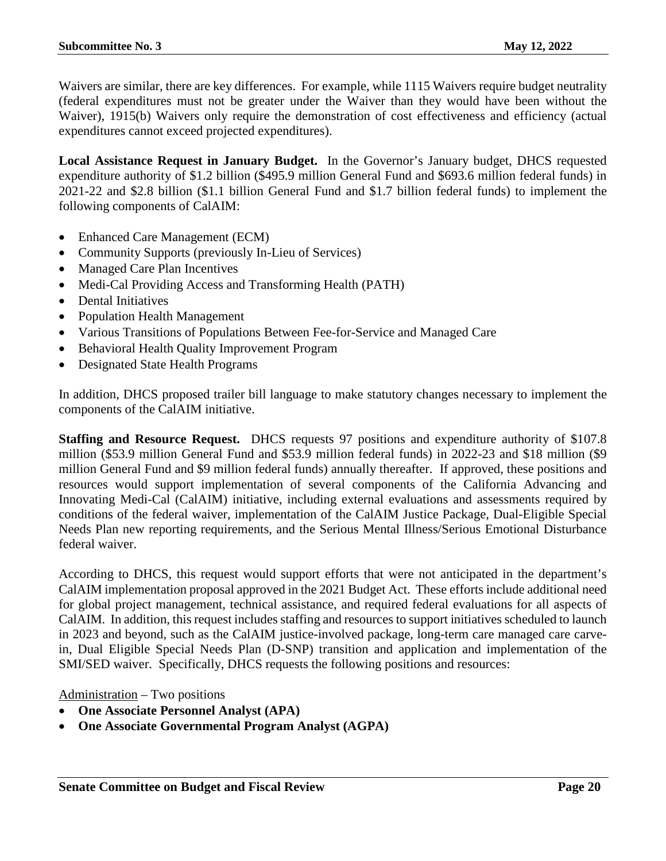Waivers are similar, there are key differences. For example, while 1115 Waivers require budget neutrality (federal expenditures must not be greater under the Waiver than they would have been without the Waiver), 1915(b) Waivers only require the demonstration of cost effectiveness and efficiency (actual expenditures cannot exceed projected expenditures).

**Local Assistance Request in January Budget.** In the Governor's January budget, DHCS requested expenditure authority of \$1.2 billion (\$495.9 million General Fund and \$693.6 million federal funds) in 2021-22 and \$2.8 billion (\$1.1 billion General Fund and \$1.7 billion federal funds) to implement the following components of CalAIM:

- Enhanced Care Management (ECM)
- Community Supports (previously In-Lieu of Services)
- Managed Care Plan Incentives
- Medi-Cal Providing Access and Transforming Health (PATH)
- Dental Initiatives
- Population Health Management
- Various Transitions of Populations Between Fee-for-Service and Managed Care
- Behavioral Health Quality Improvement Program
- Designated State Health Programs

In addition, DHCS proposed trailer bill language to make statutory changes necessary to implement the components of the CalAIM initiative.

**Staffing and Resource Request.** DHCS requests 97 positions and expenditure authority of \$107.8 million (\$53.9 million General Fund and \$53.9 million federal funds) in 2022-23 and \$18 million (\$9 million General Fund and \$9 million federal funds) annually thereafter. If approved, these positions and resources would support implementation of several components of the California Advancing and Innovating Medi-Cal (CalAIM) initiative, including external evaluations and assessments required by conditions of the federal waiver, implementation of the CalAIM Justice Package, Dual-Eligible Special Needs Plan new reporting requirements, and the Serious Mental Illness/Serious Emotional Disturbance federal waiver.

According to DHCS, this request would support efforts that were not anticipated in the department's CalAIM implementation proposal approved in the 2021 Budget Act. These efforts include additional need for global project management, technical assistance, and required federal evaluations for all aspects of CalAIM. In addition, this request includes staffing and resources to support initiatives scheduled to launch in 2023 and beyond, such as the CalAIM justice-involved package, long-term care managed care carvein, Dual Eligible Special Needs Plan (D-SNP) transition and application and implementation of the SMI/SED waiver. Specifically, DHCS requests the following positions and resources:

Administration – Two positions

- **One Associate Personnel Analyst (APA)**
- **One Associate Governmental Program Analyst (AGPA)**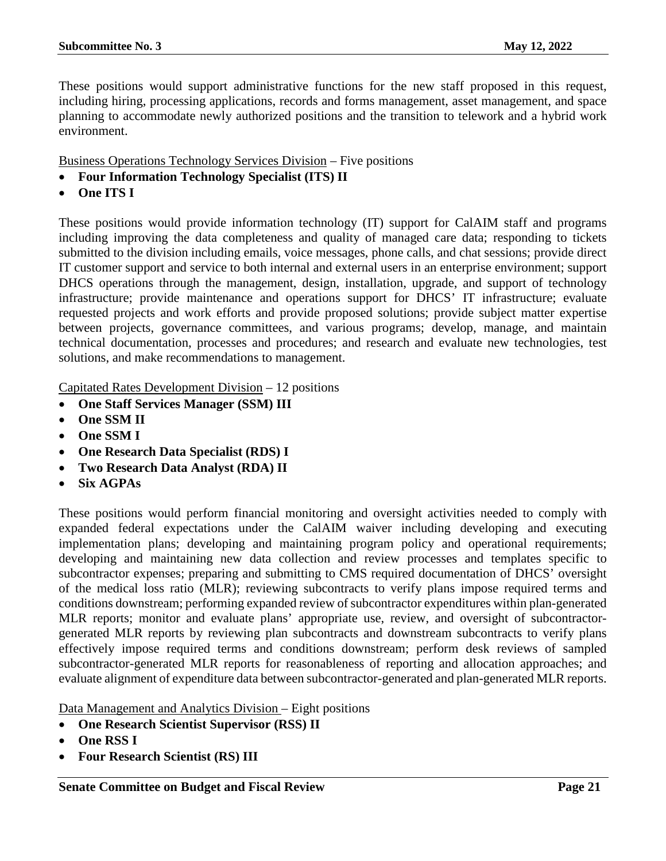These positions would support administrative functions for the new staff proposed in this request, including hiring, processing applications, records and forms management, asset management, and space planning to accommodate newly authorized positions and the transition to telework and a hybrid work environment.

Business Operations Technology Services Division – Five positions

- **Four Information Technology Specialist (ITS) II**
- **One ITS I**

These positions would provide information technology (IT) support for CalAIM staff and programs including improving the data completeness and quality of managed care data; responding to tickets submitted to the division including emails, voice messages, phone calls, and chat sessions; provide direct IT customer support and service to both internal and external users in an enterprise environment; support DHCS operations through the management, design, installation, upgrade, and support of technology infrastructure; provide maintenance and operations support for DHCS' IT infrastructure; evaluate requested projects and work efforts and provide proposed solutions; provide subject matter expertise between projects, governance committees, and various programs; develop, manage, and maintain technical documentation, processes and procedures; and research and evaluate new technologies, test solutions, and make recommendations to management.

Capitated Rates Development Division – 12 positions

- **One Staff Services Manager (SSM) III**
- **One SSM II**
- **One SSM I**
- **One Research Data Specialist (RDS) I**
- **Two Research Data Analyst (RDA) II**
- **Six AGPAs**

These positions would perform financial monitoring and oversight activities needed to comply with expanded federal expectations under the CalAIM waiver including developing and executing implementation plans; developing and maintaining program policy and operational requirements; developing and maintaining new data collection and review processes and templates specific to subcontractor expenses; preparing and submitting to CMS required documentation of DHCS' oversight of the medical loss ratio (MLR); reviewing subcontracts to verify plans impose required terms and conditions downstream; performing expanded review of subcontractor expenditures within plan-generated MLR reports; monitor and evaluate plans' appropriate use, review, and oversight of subcontractorgenerated MLR reports by reviewing plan subcontracts and downstream subcontracts to verify plans effectively impose required terms and conditions downstream; perform desk reviews of sampled subcontractor-generated MLR reports for reasonableness of reporting and allocation approaches; and evaluate alignment of expenditure data between subcontractor-generated and plan-generated MLR reports.

Data Management and Analytics Division – Eight positions

- **One Research Scientist Supervisor (RSS) II**
- **One RSS I**
- **Four Research Scientist (RS) III**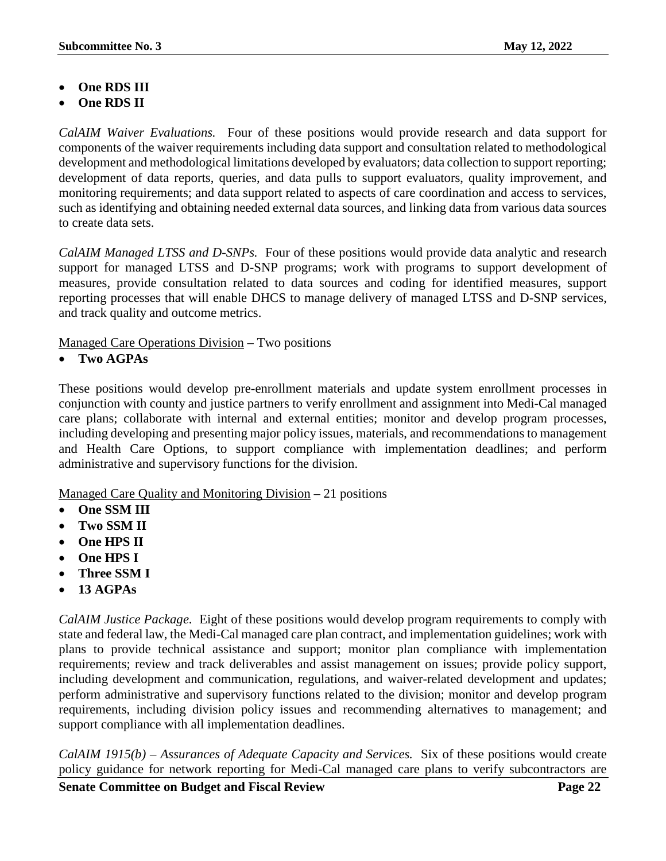- **One RDS III**
- **One RDS II**

*CalAIM Waiver Evaluations.* Four of these positions would provide research and data support for components of the waiver requirements including data support and consultation related to methodological development and methodological limitations developed by evaluators; data collection to support reporting; development of data reports, queries, and data pulls to support evaluators, quality improvement, and monitoring requirements; and data support related to aspects of care coordination and access to services, such as identifying and obtaining needed external data sources, and linking data from various data sources to create data sets.

*CalAIM Managed LTSS and D-SNPs.* Four of these positions would provide data analytic and research support for managed LTSS and D-SNP programs; work with programs to support development of measures, provide consultation related to data sources and coding for identified measures, support reporting processes that will enable DHCS to manage delivery of managed LTSS and D-SNP services, and track quality and outcome metrics.

Managed Care Operations Division – Two positions

• **Two AGPAs**

These positions would develop pre-enrollment materials and update system enrollment processes in conjunction with county and justice partners to verify enrollment and assignment into Medi-Cal managed care plans; collaborate with internal and external entities; monitor and develop program processes, including developing and presenting major policy issues, materials, and recommendations to management and Health Care Options, to support compliance with implementation deadlines; and perform administrative and supervisory functions for the division.

Managed Care Quality and Monitoring Division – 21 positions

- **One SSM III**
- **Two SSM II**
- **One HPS II**
- **One HPS I**
- **Three SSM I**
- **13 AGPAs**

*CalAIM Justice Package.* Eight of these positions would develop program requirements to comply with state and federal law, the Medi-Cal managed care plan contract, and implementation guidelines; work with plans to provide technical assistance and support; monitor plan compliance with implementation requirements; review and track deliverables and assist management on issues; provide policy support, including development and communication, regulations, and waiver-related development and updates; perform administrative and supervisory functions related to the division; monitor and develop program requirements, including division policy issues and recommending alternatives to management; and support compliance with all implementation deadlines.

*CalAIM 1915(b) – Assurances of Adequate Capacity and Services.* Six of these positions would create policy guidance for network reporting for Medi-Cal managed care plans to verify subcontractors are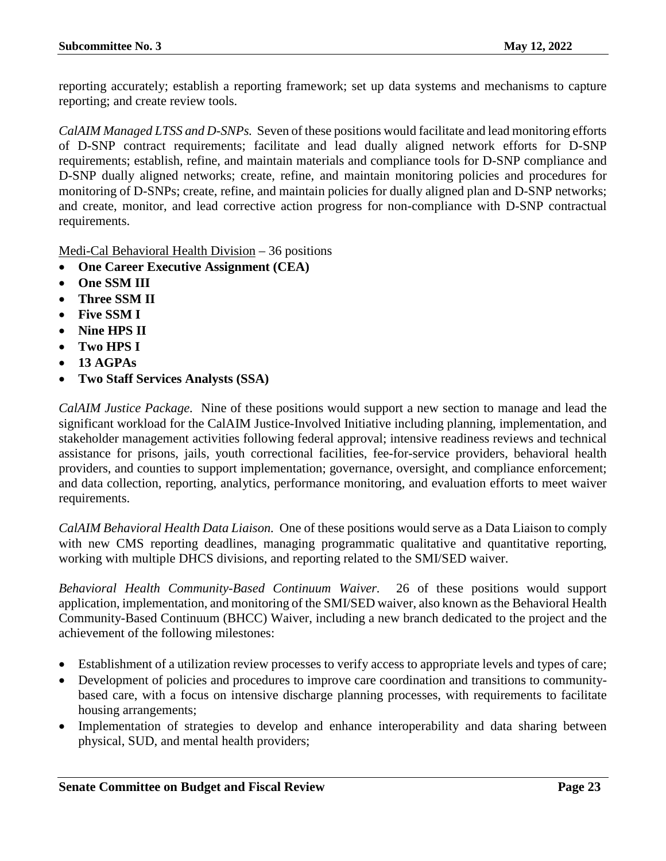reporting accurately; establish a reporting framework; set up data systems and mechanisms to capture reporting; and create review tools.

*CalAIM Managed LTSS and D-SNPs.* Seven of these positions would facilitate and lead monitoring efforts of D-SNP contract requirements; facilitate and lead dually aligned network efforts for D-SNP requirements; establish, refine, and maintain materials and compliance tools for D-SNP compliance and D-SNP dually aligned networks; create, refine, and maintain monitoring policies and procedures for monitoring of D-SNPs; create, refine, and maintain policies for dually aligned plan and D-SNP networks; and create, monitor, and lead corrective action progress for non-compliance with D-SNP contractual requirements.

Medi-Cal Behavioral Health Division – 36 positions

- **One Career Executive Assignment (CEA)**
- **One SSM III**
- **Three SSM II**
- **Five SSM I**
- **Nine HPS II**
- **Two HPS I**
- **13 AGPAs**
- **Two Staff Services Analysts (SSA)**

*CalAIM Justice Package.* Nine of these positions would support a new section to manage and lead the significant workload for the CalAIM Justice-Involved Initiative including planning, implementation, and stakeholder management activities following federal approval; intensive readiness reviews and technical assistance for prisons, jails, youth correctional facilities, fee-for-service providers, behavioral health providers, and counties to support implementation; governance, oversight, and compliance enforcement; and data collection, reporting, analytics, performance monitoring, and evaluation efforts to meet waiver requirements.

*CalAIM Behavioral Health Data Liaison.* One of these positions would serve as a Data Liaison to comply with new CMS reporting deadlines, managing programmatic qualitative and quantitative reporting, working with multiple DHCS divisions, and reporting related to the SMI/SED waiver.

*Behavioral Health Community-Based Continuum Waiver.* 26 of these positions would support application, implementation, and monitoring of the SMI/SED waiver, also known as the Behavioral Health Community-Based Continuum (BHCC) Waiver, including a new branch dedicated to the project and the achievement of the following milestones:

- Establishment of a utilization review processes to verify access to appropriate levels and types of care;
- Development of policies and procedures to improve care coordination and transitions to communitybased care, with a focus on intensive discharge planning processes, with requirements to facilitate housing arrangements;
- Implementation of strategies to develop and enhance interoperability and data sharing between physical, SUD, and mental health providers;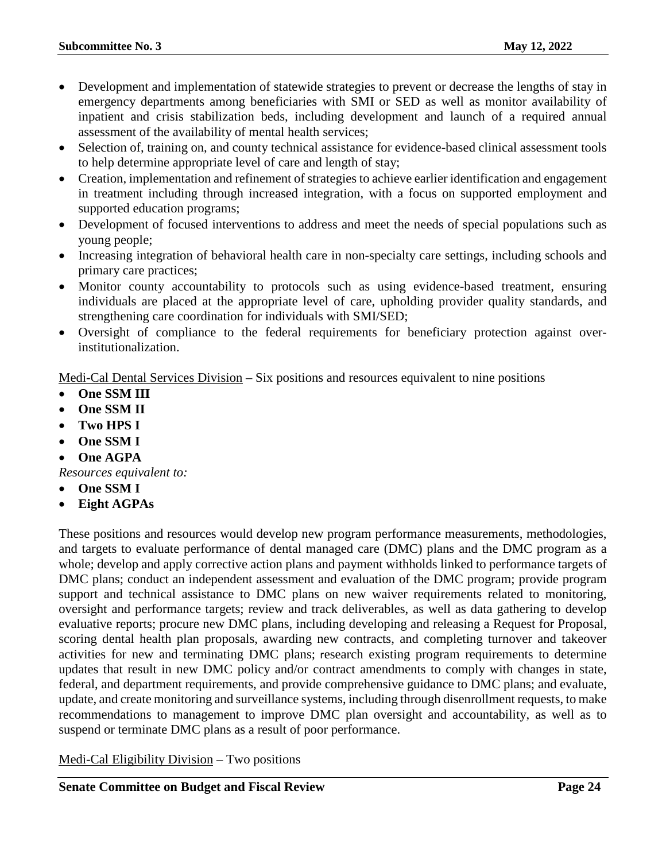- Development and implementation of statewide strategies to prevent or decrease the lengths of stay in emergency departments among beneficiaries with SMI or SED as well as monitor availability of inpatient and crisis stabilization beds, including development and launch of a required annual assessment of the availability of mental health services;
- Selection of, training on, and county technical assistance for evidence-based clinical assessment tools to help determine appropriate level of care and length of stay;
- Creation, implementation and refinement of strategies to achieve earlier identification and engagement in treatment including through increased integration, with a focus on supported employment and supported education programs;
- Development of focused interventions to address and meet the needs of special populations such as young people;
- Increasing integration of behavioral health care in non-specialty care settings, including schools and primary care practices;
- Monitor county accountability to protocols such as using evidence-based treatment, ensuring individuals are placed at the appropriate level of care, upholding provider quality standards, and strengthening care coordination for individuals with SMI/SED;
- Oversight of compliance to the federal requirements for beneficiary protection against overinstitutionalization.

Medi-Cal Dental Services Division – Six positions and resources equivalent to nine positions

- **One SSM III**
- **One SSM II**
- **Two HPS I**
- **One SSM I**
- **One AGPA**

*Resources equivalent to:*

- **One SSM I**
- **Eight AGPAs**

These positions and resources would develop new program performance measurements, methodologies, and targets to evaluate performance of dental managed care (DMC) plans and the DMC program as a whole; develop and apply corrective action plans and payment withholds linked to performance targets of DMC plans; conduct an independent assessment and evaluation of the DMC program; provide program support and technical assistance to DMC plans on new waiver requirements related to monitoring, oversight and performance targets; review and track deliverables, as well as data gathering to develop evaluative reports; procure new DMC plans, including developing and releasing a Request for Proposal, scoring dental health plan proposals, awarding new contracts, and completing turnover and takeover activities for new and terminating DMC plans; research existing program requirements to determine updates that result in new DMC policy and/or contract amendments to comply with changes in state, federal, and department requirements, and provide comprehensive guidance to DMC plans; and evaluate, update, and create monitoring and surveillance systems, including through disenrollment requests, to make recommendations to management to improve DMC plan oversight and accountability, as well as to suspend or terminate DMC plans as a result of poor performance.

Medi-Cal Eligibility Division – Two positions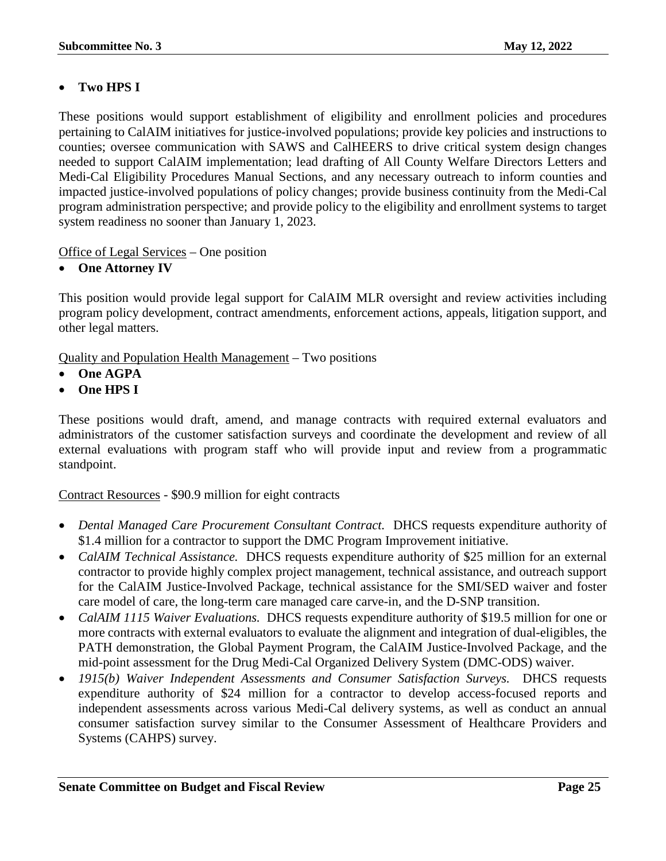# • **Two HPS I**

These positions would support establishment of eligibility and enrollment policies and procedures pertaining to CalAIM initiatives for justice-involved populations; provide key policies and instructions to counties; oversee communication with SAWS and CalHEERS to drive critical system design changes needed to support CalAIM implementation; lead drafting of All County Welfare Directors Letters and Medi-Cal Eligibility Procedures Manual Sections, and any necessary outreach to inform counties and impacted justice-involved populations of policy changes; provide business continuity from the Medi-Cal program administration perspective; and provide policy to the eligibility and enrollment systems to target system readiness no sooner than January 1, 2023.

Office of Legal Services – One position

• **One Attorney IV**

This position would provide legal support for CalAIM MLR oversight and review activities including program policy development, contract amendments, enforcement actions, appeals, litigation support, and other legal matters.

Quality and Population Health Management – Two positions

- **One AGPA**
- **One HPS I**

These positions would draft, amend, and manage contracts with required external evaluators and administrators of the customer satisfaction surveys and coordinate the development and review of all external evaluations with program staff who will provide input and review from a programmatic standpoint.

Contract Resources - \$90.9 million for eight contracts

- *Dental Managed Care Procurement Consultant Contract.* DHCS requests expenditure authority of \$1.4 million for a contractor to support the DMC Program Improvement initiative.
- *CalAIM Technical Assistance.* DHCS requests expenditure authority of \$25 million for an external contractor to provide highly complex project management, technical assistance, and outreach support for the CalAIM Justice-Involved Package, technical assistance for the SMI/SED waiver and foster care model of care, the long-term care managed care carve-in, and the D-SNP transition.
- *CalAIM 1115 Waiver Evaluations.* DHCS requests expenditure authority of \$19.5 million for one or more contracts with external evaluators to evaluate the alignment and integration of dual-eligibles, the PATH demonstration, the Global Payment Program, the CalAIM Justice-Involved Package, and the mid-point assessment for the Drug Medi-Cal Organized Delivery System (DMC-ODS) waiver.
- *1915(b) Waiver Independent Assessments and Consumer Satisfaction Surveys.* DHCS requests expenditure authority of \$24 million for a contractor to develop access-focused reports and independent assessments across various Medi-Cal delivery systems, as well as conduct an annual consumer satisfaction survey similar to the Consumer Assessment of Healthcare Providers and Systems (CAHPS) survey.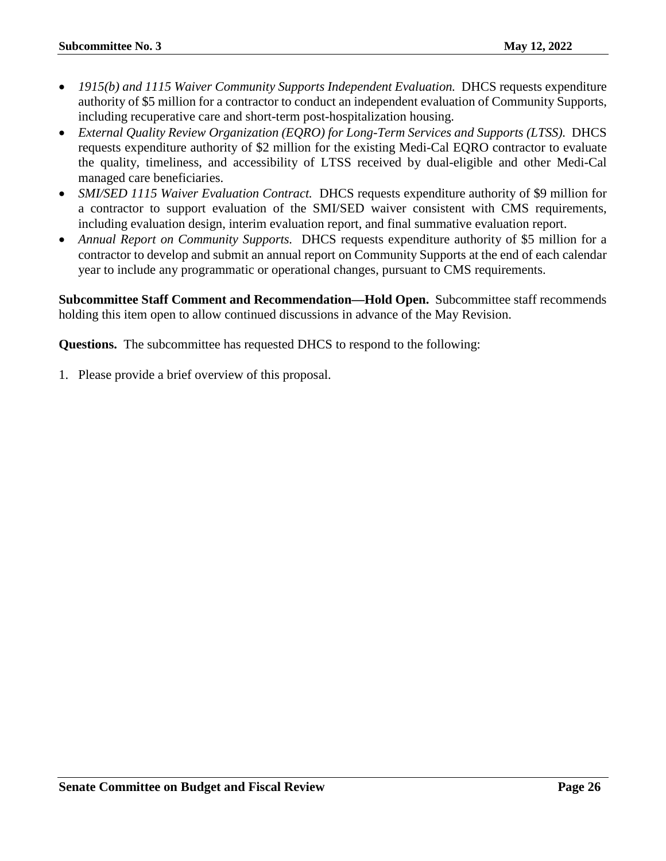- *1915(b) and 1115 Waiver Community Supports Independent Evaluation.* DHCS requests expenditure authority of \$5 million for a contractor to conduct an independent evaluation of Community Supports, including recuperative care and short-term post-hospitalization housing.
- *External Quality Review Organization (EQRO) for Long-Term Services and Supports (LTSS).* DHCS requests expenditure authority of \$2 million for the existing Medi-Cal EQRO contractor to evaluate the quality, timeliness, and accessibility of LTSS received by dual-eligible and other Medi-Cal managed care beneficiaries.
- *SMI/SED 1115 Waiver Evaluation Contract.* DHCS requests expenditure authority of \$9 million for a contractor to support evaluation of the SMI/SED waiver consistent with CMS requirements, including evaluation design, interim evaluation report, and final summative evaluation report.
- *Annual Report on Community Supports.* DHCS requests expenditure authority of \$5 million for a contractor to develop and submit an annual report on Community Supports at the end of each calendar year to include any programmatic or operational changes, pursuant to CMS requirements.

**Subcommittee Staff Comment and Recommendation—Hold Open.** Subcommittee staff recommends holding this item open to allow continued discussions in advance of the May Revision.

**Questions.** The subcommittee has requested DHCS to respond to the following: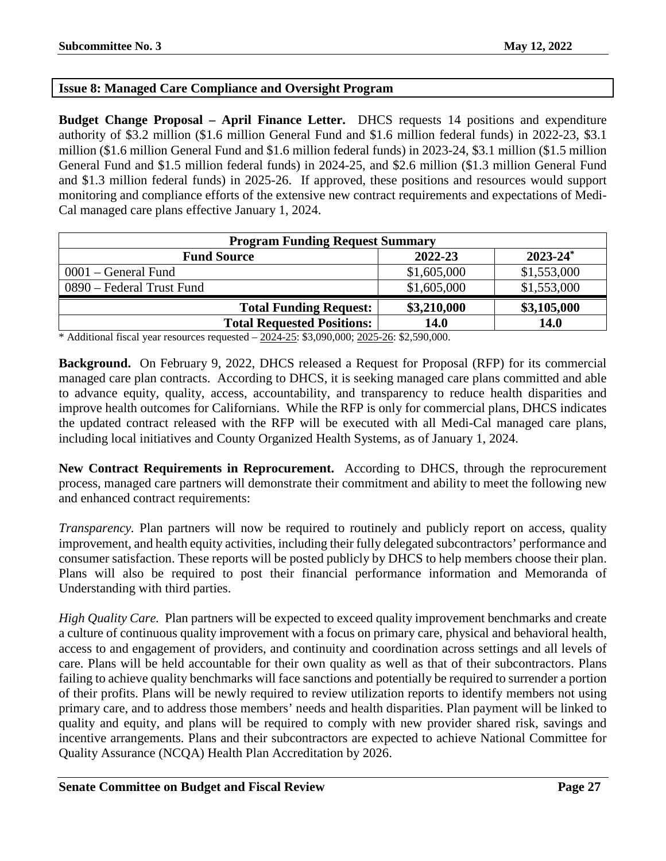# <span id="page-26-0"></span>**Issue 8: Managed Care Compliance and Oversight Program**

**Budget Change Proposal – April Finance Letter.** DHCS requests 14 positions and expenditure authority of \$3.2 million (\$1.6 million General Fund and \$1.6 million federal funds) in 2022-23, \$3.1 million (\$1.6 million General Fund and \$1.6 million federal funds) in 2023-24, \$3.1 million (\$1.5 million General Fund and \$1.5 million federal funds) in 2024-25, and \$2.6 million (\$1.3 million General Fund and \$1.3 million federal funds) in 2025-26. If approved, these positions and resources would support monitoring and compliance efforts of the extensive new contract requirements and expectations of Medi-Cal managed care plans effective January 1, 2024.

| <b>Program Funding Request Summary</b> |             |               |
|----------------------------------------|-------------|---------------|
| <b>Fund Source</b>                     | 2022-23     | $2023 - 24^*$ |
| $0001$ – General Fund                  | \$1,605,000 | \$1,553,000   |
| 0890 – Federal Trust Fund              | \$1,605,000 | \$1,553,000   |
| <b>Total Funding Request:</b>          | \$3,210,000 | \$3,105,000   |
| <b>Total Requested Positions:</b>      | 14.0        | 14.0          |

\* Additional fiscal year resources requested – 2024-25: \$3,090,000; 2025-26: \$2,590,000.

**Background.** On February 9, 2022, DHCS released a Request for Proposal (RFP) for its commercial managed care plan contracts. According to DHCS, it is seeking managed care plans committed and able to advance equity, quality, access, accountability, and transparency to reduce health disparities and improve health outcomes for Californians. While the RFP is only for commercial plans, DHCS indicates the updated contract released with the RFP will be executed with all Medi-Cal managed care plans, including local initiatives and County Organized Health Systems, as of January 1, 2024.

**New Contract Requirements in Reprocurement.** According to DHCS, through the reprocurement process, managed care partners will demonstrate their commitment and ability to meet the following new and enhanced contract requirements:

*Transparency.* Plan partners will now be required to routinely and publicly report on access, quality improvement, and health equity activities, including their fully delegated subcontractors' performance and consumer satisfaction. These reports will be posted publicly by DHCS to help members choose their plan. Plans will also be required to post their financial performance information and Memoranda of Understanding with third parties.

*High Quality Care.* Plan partners will be expected to exceed quality improvement benchmarks and create a culture of continuous quality improvement with a focus on primary care, physical and behavioral health, access to and engagement of providers, and continuity and coordination across settings and all levels of care. Plans will be held accountable for their own quality as well as that of their subcontractors. Plans failing to achieve quality benchmarks will face sanctions and potentially be required to surrender a portion of their profits. Plans will be newly required to review utilization reports to identify members not using primary care, and to address those members' needs and health disparities. Plan payment will be linked to quality and equity, and plans will be required to comply with new provider shared risk, savings and incentive arrangements. Plans and their subcontractors are expected to achieve National Committee for Quality Assurance (NCQA) Health Plan Accreditation by 2026.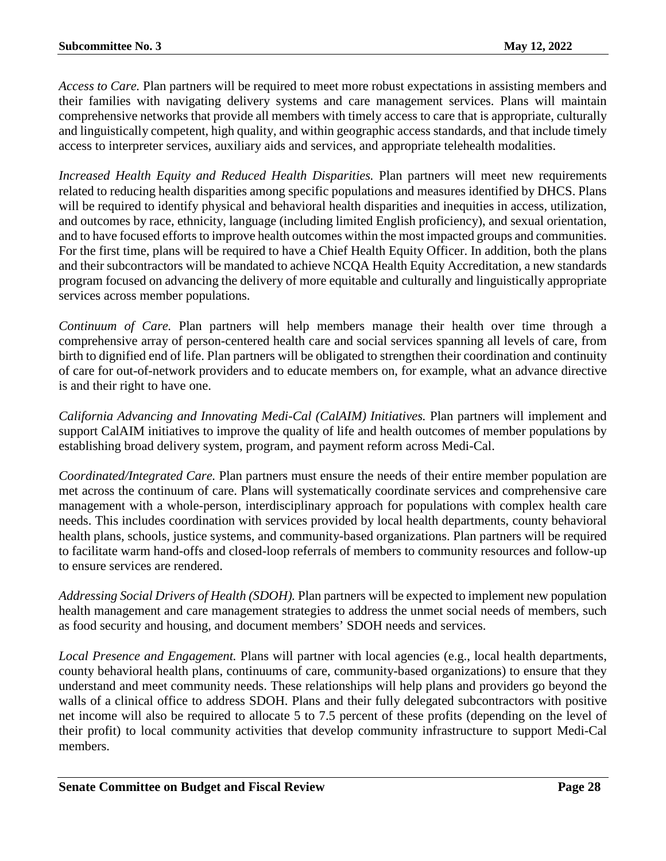*Access to Care.* Plan partners will be required to meet more robust expectations in assisting members and their families with navigating delivery systems and care management services. Plans will maintain comprehensive networks that provide all members with timely access to care that is appropriate, culturally and linguistically competent, high quality, and within geographic access standards, and that include timely access to interpreter services, auxiliary aids and services, and appropriate telehealth modalities.

*Increased Health Equity and Reduced Health Disparities.* Plan partners will meet new requirements related to reducing health disparities among specific populations and measures identified by DHCS. Plans will be required to identify physical and behavioral health disparities and inequities in access, utilization, and outcomes by race, ethnicity, language (including limited English proficiency), and sexual orientation, and to have focused efforts to improve health outcomes within the most impacted groups and communities. For the first time, plans will be required to have a Chief Health Equity Officer. In addition, both the plans and their subcontractors will be mandated to achieve NCQA Health Equity Accreditation, a new standards program focused on advancing the delivery of more equitable and culturally and linguistically appropriate services across member populations.

*Continuum of Care.* Plan partners will help members manage their health over time through a comprehensive array of person-centered health care and social services spanning all levels of care, from birth to dignified end of life. Plan partners will be obligated to strengthen their coordination and continuity of care for out-of-network providers and to educate members on, for example, what an advance directive is and their right to have one.

*California Advancing and Innovating Medi-Cal (CalAIM) Initiatives.* Plan partners will implement and support CalAIM initiatives to improve the quality of life and health outcomes of member populations by establishing broad delivery system, program, and payment reform across Medi-Cal.

*Coordinated/Integrated Care.* Plan partners must ensure the needs of their entire member population are met across the continuum of care. Plans will systematically coordinate services and comprehensive care management with a whole-person, interdisciplinary approach for populations with complex health care needs. This includes coordination with services provided by local health departments, county behavioral health plans, schools, justice systems, and community-based organizations. Plan partners will be required to facilitate warm hand-offs and closed-loop referrals of members to community resources and follow-up to ensure services are rendered.

*Addressing Social Drivers of Health (SDOH).* Plan partners will be expected to implement new population health management and care management strategies to address the unmet social needs of members, such as food security and housing, and document members' SDOH needs and services.

*Local Presence and Engagement.* Plans will partner with local agencies (e.g., local health departments, county behavioral health plans, continuums of care, community-based organizations) to ensure that they understand and meet community needs. These relationships will help plans and providers go beyond the walls of a clinical office to address SDOH. Plans and their fully delegated subcontractors with positive net income will also be required to allocate 5 to 7.5 percent of these profits (depending on the level of their profit) to local community activities that develop community infrastructure to support Medi-Cal members.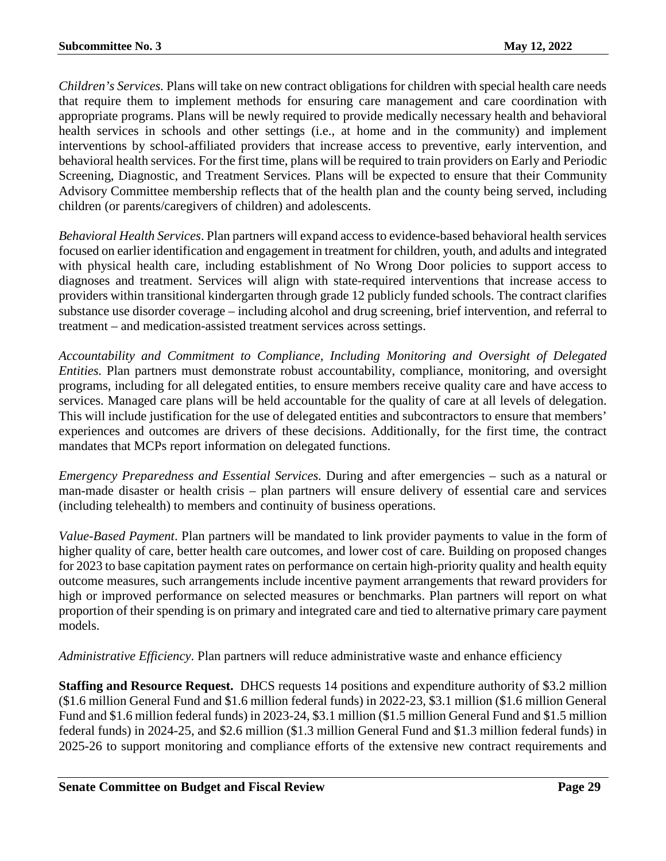*Children's Services.* Plans will take on new contract obligations for children with special health care needs that require them to implement methods for ensuring care management and care coordination with appropriate programs. Plans will be newly required to provide medically necessary health and behavioral health services in schools and other settings (i.e., at home and in the community) and implement interventions by school-affiliated providers that increase access to preventive, early intervention, and behavioral health services. For the first time, plans will be required to train providers on Early and Periodic Screening, Diagnostic, and Treatment Services. Plans will be expected to ensure that their Community Advisory Committee membership reflects that of the health plan and the county being served, including children (or parents/caregivers of children) and adolescents.

*Behavioral Health Services*. Plan partners will expand access to evidence-based behavioral health services focused on earlier identification and engagement in treatment for children, youth, and adults and integrated with physical health care, including establishment of No Wrong Door policies to support access to diagnoses and treatment. Services will align with state-required interventions that increase access to providers within transitional kindergarten through grade 12 publicly funded schools. The contract clarifies substance use disorder coverage – including alcohol and drug screening, brief intervention, and referral to treatment – and medication-assisted treatment services across settings.

*Accountability and Commitment to Compliance, Including Monitoring and Oversight of Delegated Entities.* Plan partners must demonstrate robust accountability, compliance, monitoring, and oversight programs, including for all delegated entities, to ensure members receive quality care and have access to services. Managed care plans will be held accountable for the quality of care at all levels of delegation. This will include justification for the use of delegated entities and subcontractors to ensure that members' experiences and outcomes are drivers of these decisions. Additionally, for the first time, the contract mandates that MCPs report information on delegated functions.

*Emergency Preparedness and Essential Services.* During and after emergencies – such as a natural or man-made disaster or health crisis – plan partners will ensure delivery of essential care and services (including telehealth) to members and continuity of business operations.

*Value-Based Payment*. Plan partners will be mandated to link provider payments to value in the form of higher quality of care, better health care outcomes, and lower cost of care. Building on proposed changes for 2023 to base capitation payment rates on performance on certain high-priority quality and health equity outcome measures, such arrangements include incentive payment arrangements that reward providers for high or improved performance on selected measures or benchmarks. Plan partners will report on what proportion of their spending is on primary and integrated care and tied to alternative primary care payment models.

*Administrative Efficiency*. Plan partners will reduce administrative waste and enhance efficiency

**Staffing and Resource Request.** DHCS requests 14 positions and expenditure authority of \$3.2 million (\$1.6 million General Fund and \$1.6 million federal funds) in 2022-23, \$3.1 million (\$1.6 million General Fund and \$1.6 million federal funds) in 2023-24, \$3.1 million (\$1.5 million General Fund and \$1.5 million federal funds) in 2024-25, and \$2.6 million (\$1.3 million General Fund and \$1.3 million federal funds) in 2025-26 to support monitoring and compliance efforts of the extensive new contract requirements and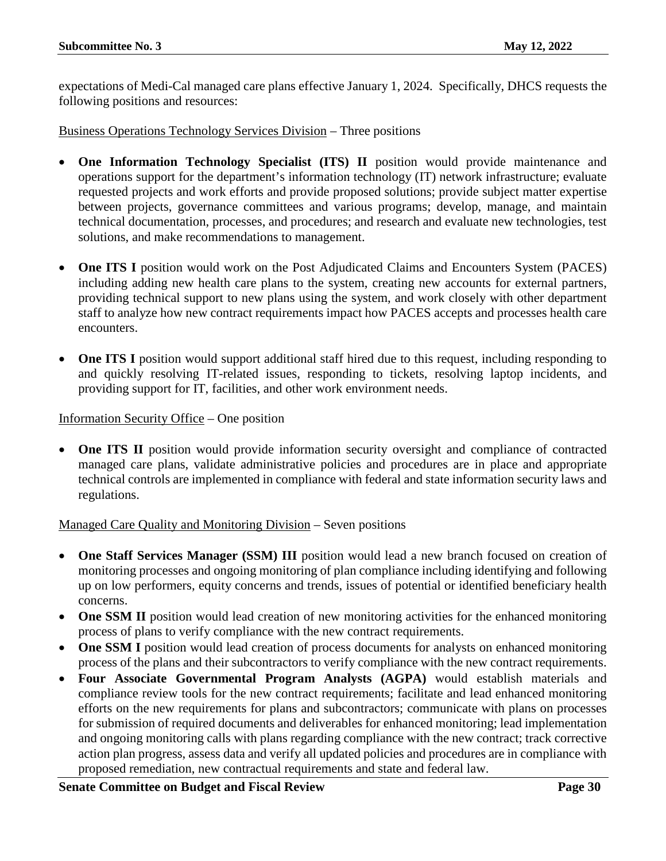expectations of Medi-Cal managed care plans effective January 1, 2024. Specifically, DHCS requests the following positions and resources:

Business Operations Technology Services Division – Three positions

- **One Information Technology Specialist (ITS) II** position would provide maintenance and operations support for the department's information technology (IT) network infrastructure; evaluate requested projects and work efforts and provide proposed solutions; provide subject matter expertise between projects, governance committees and various programs; develop, manage, and maintain technical documentation, processes, and procedures; and research and evaluate new technologies, test solutions, and make recommendations to management.
- **One ITS I** position would work on the Post Adjudicated Claims and Encounters System (PACES) including adding new health care plans to the system, creating new accounts for external partners, providing technical support to new plans using the system, and work closely with other department staff to analyze how new contract requirements impact how PACES accepts and processes health care encounters.
- **One ITS I** position would support additional staff hired due to this request, including responding to and quickly resolving IT-related issues, responding to tickets, resolving laptop incidents, and providing support for IT, facilities, and other work environment needs.

#### Information Security Office – One position

**One ITS II** position would provide information security oversight and compliance of contracted managed care plans, validate administrative policies and procedures are in place and appropriate technical controls are implemented in compliance with federal and state information security laws and regulations.

# Managed Care Quality and Monitoring Division – Seven positions

- **One Staff Services Manager (SSM) III** position would lead a new branch focused on creation of monitoring processes and ongoing monitoring of plan compliance including identifying and following up on low performers, equity concerns and trends, issues of potential or identified beneficiary health concerns.
- **One SSM II** position would lead creation of new monitoring activities for the enhanced monitoring process of plans to verify compliance with the new contract requirements.
- **One SSM I** position would lead creation of process documents for analysts on enhanced monitoring process of the plans and their subcontractors to verify compliance with the new contract requirements.
- **Four Associate Governmental Program Analysts (AGPA)** would establish materials and compliance review tools for the new contract requirements; facilitate and lead enhanced monitoring efforts on the new requirements for plans and subcontractors; communicate with plans on processes for submission of required documents and deliverables for enhanced monitoring; lead implementation and ongoing monitoring calls with plans regarding compliance with the new contract; track corrective action plan progress, assess data and verify all updated policies and procedures are in compliance with proposed remediation, new contractual requirements and state and federal law.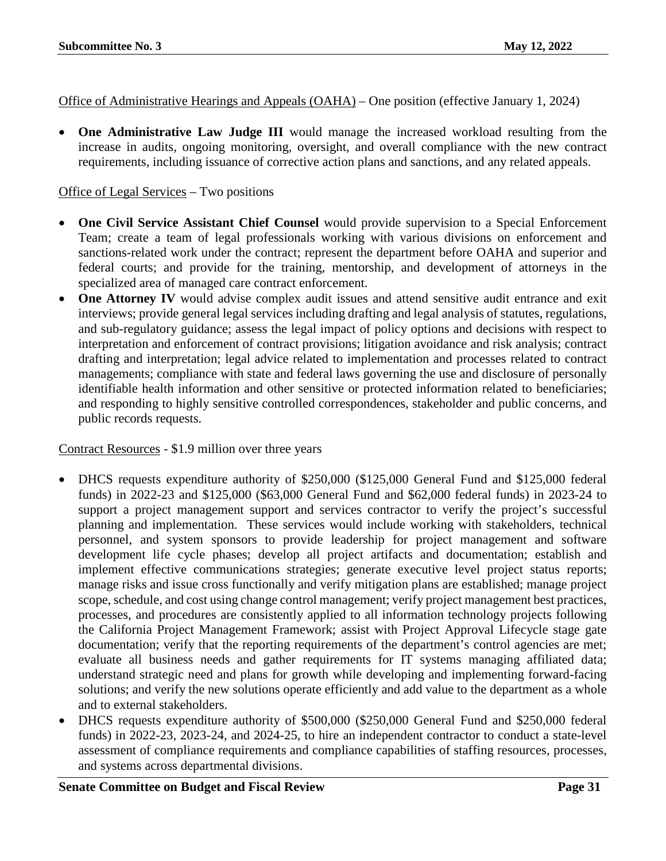Office of Administrative Hearings and Appeals (OAHA) – One position (effective January 1, 2024)

• **One Administrative Law Judge III** would manage the increased workload resulting from the increase in audits, ongoing monitoring, oversight, and overall compliance with the new contract requirements, including issuance of corrective action plans and sanctions, and any related appeals.

# Office of Legal Services – Two positions

- **One Civil Service Assistant Chief Counsel** would provide supervision to a Special Enforcement Team; create a team of legal professionals working with various divisions on enforcement and sanctions-related work under the contract; represent the department before OAHA and superior and federal courts; and provide for the training, mentorship, and development of attorneys in the specialized area of managed care contract enforcement.
- **One Attorney IV** would advise complex audit issues and attend sensitive audit entrance and exit interviews; provide general legal services including drafting and legal analysis of statutes, regulations, and sub-regulatory guidance; assess the legal impact of policy options and decisions with respect to interpretation and enforcement of contract provisions; litigation avoidance and risk analysis; contract drafting and interpretation; legal advice related to implementation and processes related to contract managements; compliance with state and federal laws governing the use and disclosure of personally identifiable health information and other sensitive or protected information related to beneficiaries; and responding to highly sensitive controlled correspondences, stakeholder and public concerns, and public records requests.

Contract Resources - \$1.9 million over three years

- DHCS requests expenditure authority of \$250,000 (\$125,000 General Fund and \$125,000 federal funds) in 2022-23 and \$125,000 (\$63,000 General Fund and \$62,000 federal funds) in 2023-24 to support a project management support and services contractor to verify the project's successful planning and implementation. These services would include working with stakeholders, technical personnel, and system sponsors to provide leadership for project management and software development life cycle phases; develop all project artifacts and documentation; establish and implement effective communications strategies; generate executive level project status reports; manage risks and issue cross functionally and verify mitigation plans are established; manage project scope, schedule, and cost using change control management; verify project management best practices, processes, and procedures are consistently applied to all information technology projects following the California Project Management Framework; assist with Project Approval Lifecycle stage gate documentation; verify that the reporting requirements of the department's control agencies are met; evaluate all business needs and gather requirements for IT systems managing affiliated data; understand strategic need and plans for growth while developing and implementing forward-facing solutions; and verify the new solutions operate efficiently and add value to the department as a whole and to external stakeholders.
- DHCS requests expenditure authority of \$500,000 (\$250,000 General Fund and \$250,000 federal funds) in 2022-23, 2023-24, and 2024-25, to hire an independent contractor to conduct a state-level assessment of compliance requirements and compliance capabilities of staffing resources, processes, and systems across departmental divisions.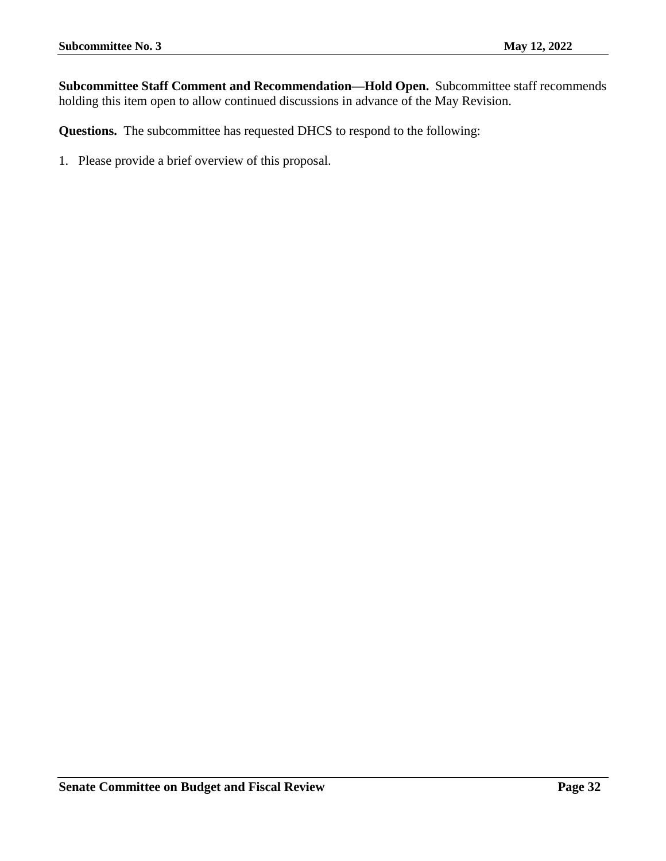**Subcommittee Staff Comment and Recommendation—Hold Open.** Subcommittee staff recommends holding this item open to allow continued discussions in advance of the May Revision.

**Questions.** The subcommittee has requested DHCS to respond to the following: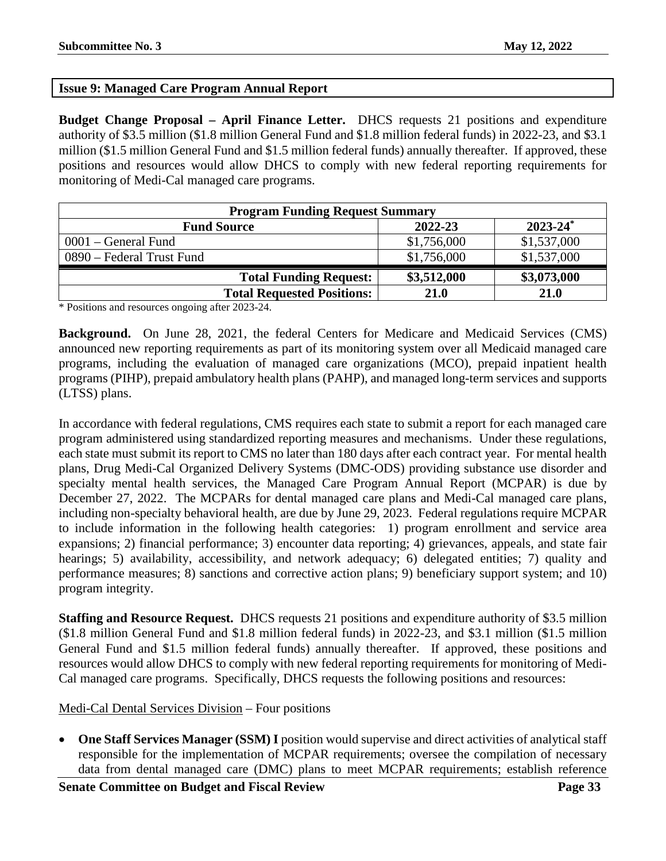# <span id="page-32-0"></span>**Issue 9: Managed Care Program Annual Report**

**Budget Change Proposal – April Finance Letter.** DHCS requests 21 positions and expenditure authority of \$3.5 million (\$1.8 million General Fund and \$1.8 million federal funds) in 2022-23, and \$3.1 million (\$1.5 million General Fund and \$1.5 million federal funds) annually thereafter. If approved, these positions and resources would allow DHCS to comply with new federal reporting requirements for monitoring of Medi-Cal managed care programs.

| <b>Program Funding Request Summary</b> |             |               |
|----------------------------------------|-------------|---------------|
| <b>Fund Source</b>                     | 2022-23     | $2023 - 24^*$ |
| $0001$ – General Fund                  | \$1,756,000 | \$1,537,000   |
| 0890 – Federal Trust Fund              | \$1,756,000 | \$1,537,000   |
| <b>Total Funding Request:</b>          | \$3,512,000 | \$3,073,000   |
| <b>Total Requested Positions:</b>      | 21.0        | 21.0          |

\* Positions and resources ongoing after 2023-24.

**Background.** On June 28, 2021, the federal Centers for Medicare and Medicaid Services (CMS) announced new reporting requirements as part of its monitoring system over all Medicaid managed care programs, including the evaluation of managed care organizations (MCO), prepaid inpatient health programs (PIHP), prepaid ambulatory health plans (PAHP), and managed long-term services and supports (LTSS) plans.

In accordance with federal regulations, CMS requires each state to submit a report for each managed care program administered using standardized reporting measures and mechanisms. Under these regulations, each state must submit its report to CMS no later than 180 days after each contract year. For mental health plans, Drug Medi-Cal Organized Delivery Systems (DMC-ODS) providing substance use disorder and specialty mental health services, the Managed Care Program Annual Report (MCPAR) is due by December 27, 2022. The MCPARs for dental managed care plans and Medi-Cal managed care plans, including non-specialty behavioral health, are due by June 29, 2023. Federal regulations require MCPAR to include information in the following health categories: 1) program enrollment and service area expansions; 2) financial performance; 3) encounter data reporting; 4) grievances, appeals, and state fair hearings; 5) availability, accessibility, and network adequacy; 6) delegated entities; 7) quality and performance measures; 8) sanctions and corrective action plans; 9) beneficiary support system; and 10) program integrity.

**Staffing and Resource Request.** DHCS requests 21 positions and expenditure authority of \$3.5 million (\$1.8 million General Fund and \$1.8 million federal funds) in 2022-23, and \$3.1 million (\$1.5 million General Fund and \$1.5 million federal funds) annually thereafter. If approved, these positions and resources would allow DHCS to comply with new federal reporting requirements for monitoring of Medi-Cal managed care programs. Specifically, DHCS requests the following positions and resources:

# Medi-Cal Dental Services Division – Four positions

• **One Staff Services Manager (SSM) I** position would supervise and direct activities of analytical staff responsible for the implementation of MCPAR requirements; oversee the compilation of necessary data from dental managed care (DMC) plans to meet MCPAR requirements; establish reference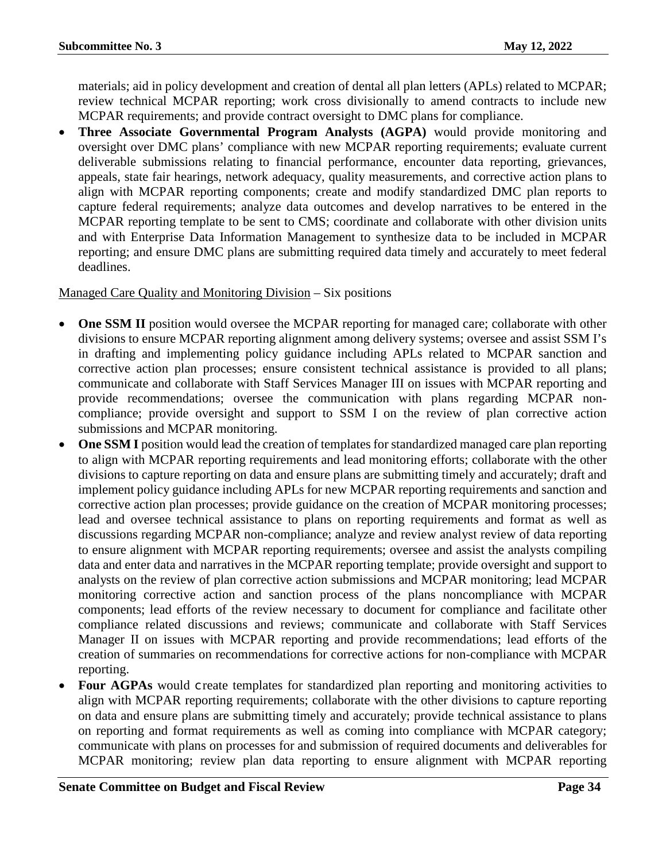materials; aid in policy development and creation of dental all plan letters (APLs) related to MCPAR; review technical MCPAR reporting; work cross divisionally to amend contracts to include new MCPAR requirements; and provide contract oversight to DMC plans for compliance.

• **Three Associate Governmental Program Analysts (AGPA)** would provide monitoring and oversight over DMC plans' compliance with new MCPAR reporting requirements; evaluate current deliverable submissions relating to financial performance, encounter data reporting, grievances, appeals, state fair hearings, network adequacy, quality measurements, and corrective action plans to align with MCPAR reporting components; create and modify standardized DMC plan reports to capture federal requirements; analyze data outcomes and develop narratives to be entered in the MCPAR reporting template to be sent to CMS; coordinate and collaborate with other division units and with Enterprise Data Information Management to synthesize data to be included in MCPAR reporting; and ensure DMC plans are submitting required data timely and accurately to meet federal deadlines.

# Managed Care Quality and Monitoring Division – Six positions

- **One SSM II** position would oversee the MCPAR reporting for managed care; collaborate with other divisions to ensure MCPAR reporting alignment among delivery systems; oversee and assist SSM I's in drafting and implementing policy guidance including APLs related to MCPAR sanction and corrective action plan processes; ensure consistent technical assistance is provided to all plans; communicate and collaborate with Staff Services Manager III on issues with MCPAR reporting and provide recommendations; oversee the communication with plans regarding MCPAR noncompliance; provide oversight and support to SSM I on the review of plan corrective action submissions and MCPAR monitoring.
- **One SSM I** position would lead the creation of templates for standardized managed care plan reporting to align with MCPAR reporting requirements and lead monitoring efforts; collaborate with the other divisions to capture reporting on data and ensure plans are submitting timely and accurately; draft and implement policy guidance including APLs for new MCPAR reporting requirements and sanction and corrective action plan processes; provide guidance on the creation of MCPAR monitoring processes; lead and oversee technical assistance to plans on reporting requirements and format as well as discussions regarding MCPAR non-compliance; analyze and review analyst review of data reporting to ensure alignment with MCPAR reporting requirements; oversee and assist the analysts compiling data and enter data and narratives in the MCPAR reporting template; provide oversight and support to analysts on the review of plan corrective action submissions and MCPAR monitoring; lead MCPAR monitoring corrective action and sanction process of the plans noncompliance with MCPAR components; lead efforts of the review necessary to document for compliance and facilitate other compliance related discussions and reviews; communicate and collaborate with Staff Services Manager II on issues with MCPAR reporting and provide recommendations; lead efforts of the creation of summaries on recommendations for corrective actions for non-compliance with MCPAR reporting.
- Four AGPAs would create templates for standardized plan reporting and monitoring activities to align with MCPAR reporting requirements; collaborate with the other divisions to capture reporting on data and ensure plans are submitting timely and accurately; provide technical assistance to plans on reporting and format requirements as well as coming into compliance with MCPAR category; communicate with plans on processes for and submission of required documents and deliverables for MCPAR monitoring; review plan data reporting to ensure alignment with MCPAR reporting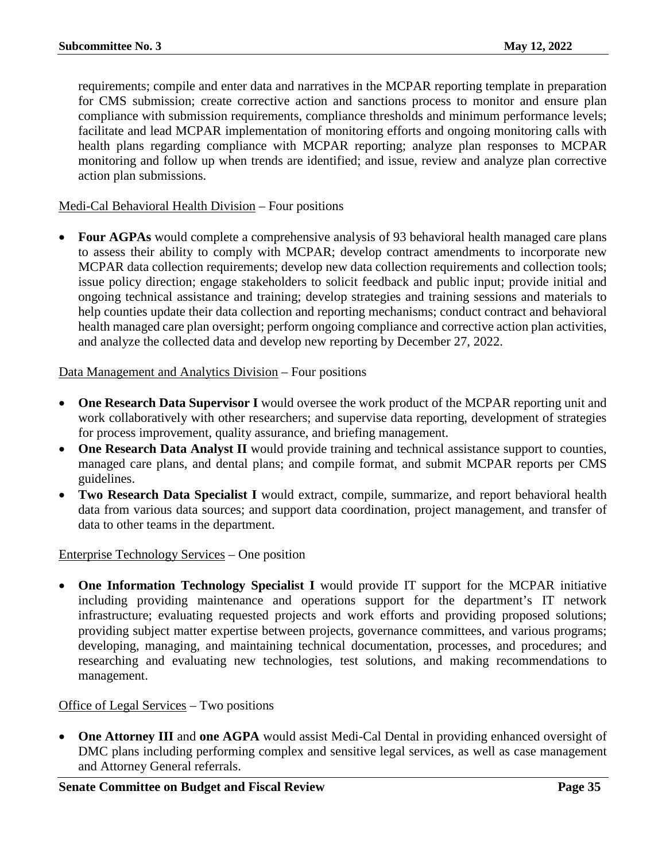requirements; compile and enter data and narratives in the MCPAR reporting template in preparation for CMS submission; create corrective action and sanctions process to monitor and ensure plan compliance with submission requirements, compliance thresholds and minimum performance levels; facilitate and lead MCPAR implementation of monitoring efforts and ongoing monitoring calls with health plans regarding compliance with MCPAR reporting; analyze plan responses to MCPAR monitoring and follow up when trends are identified; and issue, review and analyze plan corrective action plan submissions.

# Medi-Cal Behavioral Health Division – Four positions

• **Four AGPAs** would complete a comprehensive analysis of 93 behavioral health managed care plans to assess their ability to comply with MCPAR; develop contract amendments to incorporate new MCPAR data collection requirements; develop new data collection requirements and collection tools; issue policy direction; engage stakeholders to solicit feedback and public input; provide initial and ongoing technical assistance and training; develop strategies and training sessions and materials to help counties update their data collection and reporting mechanisms; conduct contract and behavioral health managed care plan oversight; perform ongoing compliance and corrective action plan activities, and analyze the collected data and develop new reporting by December 27, 2022.

# Data Management and Analytics Division – Four positions

- **One Research Data Supervisor I** would oversee the work product of the MCPAR reporting unit and work collaboratively with other researchers; and supervise data reporting, development of strategies for process improvement, quality assurance, and briefing management.
- **One Research Data Analyst II** would provide training and technical assistance support to counties, managed care plans, and dental plans; and compile format, and submit MCPAR reports per CMS guidelines.
- **Two Research Data Specialist I** would extract, compile, summarize, and report behavioral health data from various data sources; and support data coordination, project management, and transfer of data to other teams in the department.

# Enterprise Technology Services – One position

• **One Information Technology Specialist I** would provide IT support for the MCPAR initiative including providing maintenance and operations support for the department's IT network infrastructure; evaluating requested projects and work efforts and providing proposed solutions; providing subject matter expertise between projects, governance committees, and various programs; developing, managing, and maintaining technical documentation, processes, and procedures; and researching and evaluating new technologies, test solutions, and making recommendations to management.

# Office of Legal Services – Two positions

• **One Attorney III** and **one AGPA** would assist Medi-Cal Dental in providing enhanced oversight of DMC plans including performing complex and sensitive legal services, as well as case management and Attorney General referrals.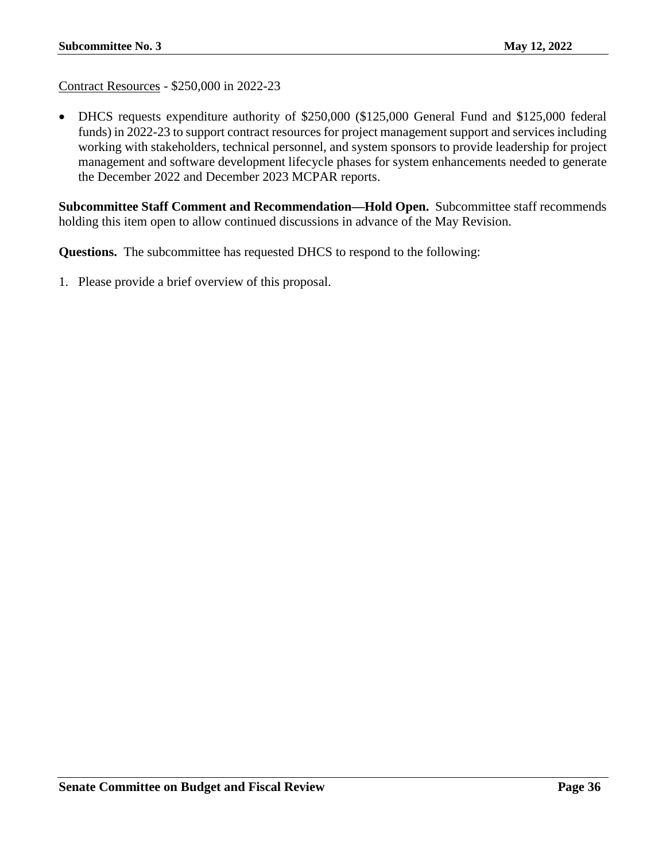Contract Resources - \$250,000 in 2022-23

• DHCS requests expenditure authority of \$250,000 (\$125,000 General Fund and \$125,000 federal funds) in 2022-23 to support contract resources for project management support and services including working with stakeholders, technical personnel, and system sponsors to provide leadership for project management and software development lifecycle phases for system enhancements needed to generate the December 2022 and December 2023 MCPAR reports.

**Subcommittee Staff Comment and Recommendation—Hold Open.** Subcommittee staff recommends holding this item open to allow continued discussions in advance of the May Revision.

**Questions.** The subcommittee has requested DHCS to respond to the following: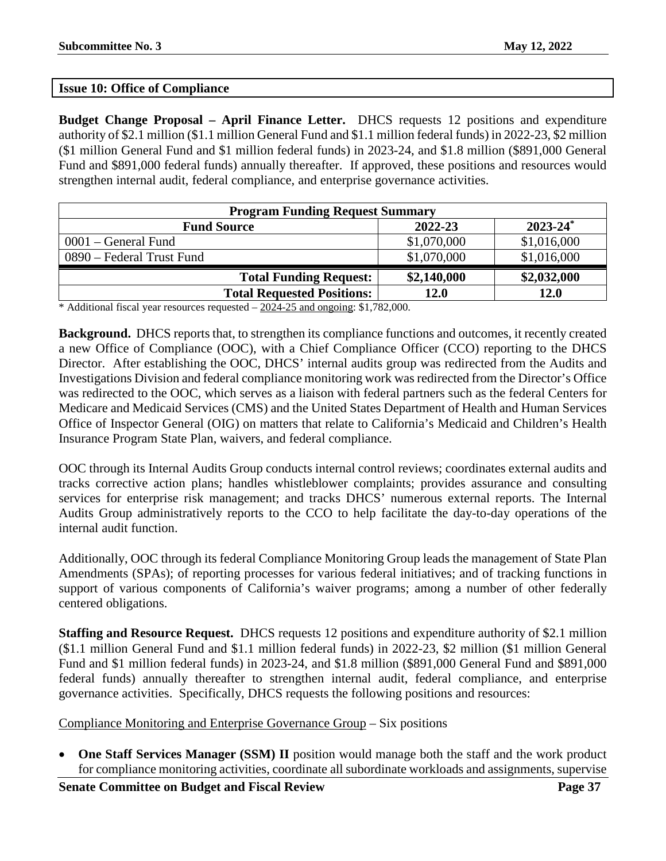# <span id="page-36-0"></span>**Issue 10: Office of Compliance**

**Budget Change Proposal – April Finance Letter.** DHCS requests 12 positions and expenditure authority of \$2.1 million (\$1.1 million General Fund and \$1.1 million federal funds) in 2022-23, \$2 million (\$1 million General Fund and \$1 million federal funds) in 2023-24, and \$1.8 million (\$891,000 General Fund and \$891,000 federal funds) annually thereafter. If approved, these positions and resources would strengthen internal audit, federal compliance, and enterprise governance activities.

| <b>Program Funding Request Summary</b> |             |               |
|----------------------------------------|-------------|---------------|
| <b>Fund Source</b>                     | 2022-23     | $2023 - 24^*$ |
| $0001$ – General Fund                  | \$1,070,000 | \$1,016,000   |
| 0890 – Federal Trust Fund              | \$1,070,000 | \$1,016,000   |
| <b>Total Funding Request:</b>          | \$2,140,000 | \$2,032,000   |
| <b>Total Requested Positions:</b>      | 12.0        | 12.0          |

\* Additional fiscal year resources requested – 2024-25 and ongoing: \$1,782,000.

**Background.** DHCS reports that, to strengthen its compliance functions and outcomes, it recently created a new Office of Compliance (OOC), with a Chief Compliance Officer (CCO) reporting to the DHCS Director. After establishing the OOC, DHCS' internal audits group was redirected from the Audits and Investigations Division and federal compliance monitoring work was redirected from the Director's Office was redirected to the OOC, which serves as a liaison with federal partners such as the federal Centers for Medicare and Medicaid Services (CMS) and the United States Department of Health and Human Services Office of Inspector General (OIG) on matters that relate to California's Medicaid and Children's Health Insurance Program State Plan, waivers, and federal compliance.

OOC through its Internal Audits Group conducts internal control reviews; coordinates external audits and tracks corrective action plans; handles whistleblower complaints; provides assurance and consulting services for enterprise risk management; and tracks DHCS' numerous external reports. The Internal Audits Group administratively reports to the CCO to help facilitate the day-to-day operations of the internal audit function.

Additionally, OOC through its federal Compliance Monitoring Group leads the management of State Plan Amendments (SPAs); of reporting processes for various federal initiatives; and of tracking functions in support of various components of California's waiver programs; among a number of other federally centered obligations.

**Staffing and Resource Request.** DHCS requests 12 positions and expenditure authority of \$2.1 million (\$1.1 million General Fund and \$1.1 million federal funds) in 2022-23, \$2 million (\$1 million General Fund and \$1 million federal funds) in 2023-24, and \$1.8 million (\$891,000 General Fund and \$891,000 federal funds) annually thereafter to strengthen internal audit, federal compliance, and enterprise governance activities. Specifically, DHCS requests the following positions and resources:

Compliance Monitoring and Enterprise Governance Group – Six positions

• **One Staff Services Manager (SSM) II** position would manage both the staff and the work product for compliance monitoring activities, coordinate all subordinate workloads and assignments, supervise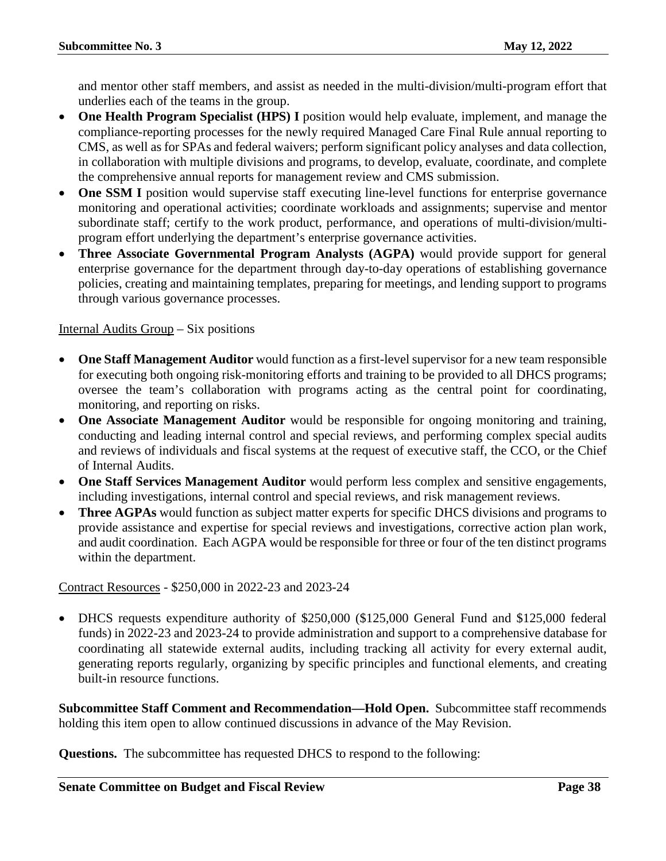and mentor other staff members, and assist as needed in the multi-division/multi-program effort that underlies each of the teams in the group.

- **One Health Program Specialist (HPS) I** position would help evaluate, implement, and manage the compliance-reporting processes for the newly required Managed Care Final Rule annual reporting to CMS, as well as for SPAs and federal waivers; perform significant policy analyses and data collection, in collaboration with multiple divisions and programs, to develop, evaluate, coordinate, and complete the comprehensive annual reports for management review and CMS submission.
- **One SSM I** position would supervise staff executing line-level functions for enterprise governance monitoring and operational activities; coordinate workloads and assignments; supervise and mentor subordinate staff; certify to the work product, performance, and operations of multi-division/multiprogram effort underlying the department's enterprise governance activities.
- **Three Associate Governmental Program Analysts (AGPA)** would provide support for general enterprise governance for the department through day-to-day operations of establishing governance policies, creating and maintaining templates, preparing for meetings, and lending support to programs through various governance processes.

# Internal Audits Group – Six positions

- **One Staff Management Auditor** would function as a first-level supervisor for a new team responsible for executing both ongoing risk-monitoring efforts and training to be provided to all DHCS programs; oversee the team's collaboration with programs acting as the central point for coordinating, monitoring, and reporting on risks.
- **One Associate Management Auditor** would be responsible for ongoing monitoring and training, conducting and leading internal control and special reviews, and performing complex special audits and reviews of individuals and fiscal systems at the request of executive staff, the CCO, or the Chief of Internal Audits.
- **One Staff Services Management Auditor** would perform less complex and sensitive engagements, including investigations, internal control and special reviews, and risk management reviews.
- **Three AGPAs** would function as subject matter experts for specific DHCS divisions and programs to provide assistance and expertise for special reviews and investigations, corrective action plan work, and audit coordination. Each AGPA would be responsible for three or four of the ten distinct programs within the department.

# Contract Resources - \$250,000 in 2022-23 and 2023-24

• DHCS requests expenditure authority of \$250,000 (\$125,000 General Fund and \$125,000 federal funds) in 2022-23 and 2023-24 to provide administration and support to a comprehensive database for coordinating all statewide external audits, including tracking all activity for every external audit, generating reports regularly, organizing by specific principles and functional elements, and creating built-in resource functions.

**Subcommittee Staff Comment and Recommendation—Hold Open.** Subcommittee staff recommends holding this item open to allow continued discussions in advance of the May Revision.

**Questions.** The subcommittee has requested DHCS to respond to the following: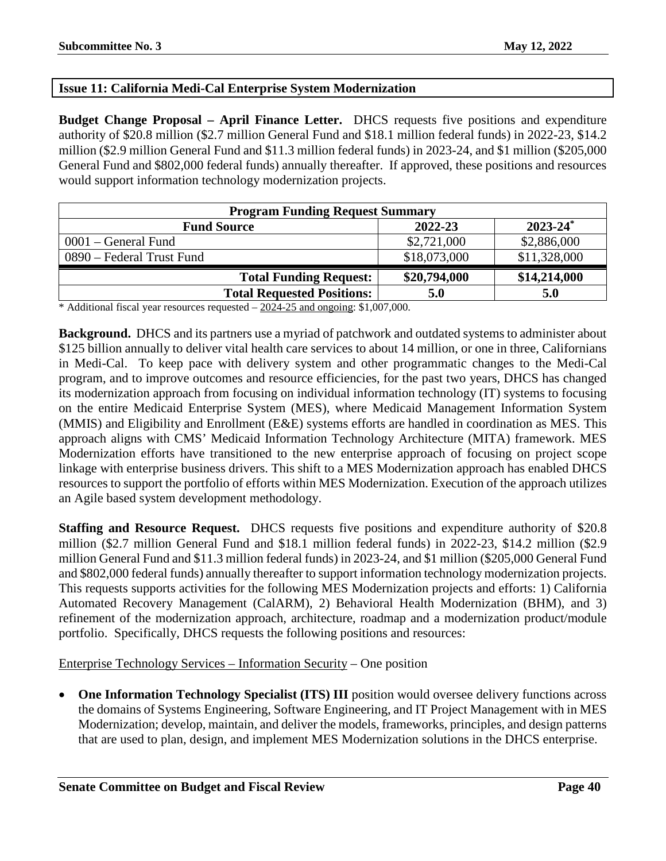# <span id="page-39-0"></span>**Issue 11: California Medi-Cal Enterprise System Modernization**

**Budget Change Proposal – April Finance Letter.** DHCS requests five positions and expenditure authority of \$20.8 million (\$2.7 million General Fund and \$18.1 million federal funds) in 2022-23, \$14.2 million (\$2.9 million General Fund and \$11.3 million federal funds) in 2023-24, and \$1 million (\$205,000 General Fund and \$802,000 federal funds) annually thereafter. If approved, these positions and resources would support information technology modernization projects.

| <b>Program Funding Request Summary</b>         |              |              |  |
|------------------------------------------------|--------------|--------------|--|
| $2023 - 24^*$<br>2022-23<br><b>Fund Source</b> |              |              |  |
| $0001$ – General Fund                          | \$2,721,000  | \$2,886,000  |  |
| 0890 – Federal Trust Fund                      | \$18,073,000 | \$11,328,000 |  |
| <b>Total Funding Request:</b>                  | \$20,794,000 | \$14,214,000 |  |
| <b>Total Requested Positions:</b>              | 5.0          | 5.0          |  |

\* Additional fiscal year resources requested – 2024-25 and ongoing: \$1,007,000.

**Background.** DHCS and its partners use a myriad of patchwork and outdated systems to administer about \$125 billion annually to deliver vital health care services to about 14 million, or one in three, Californians in Medi-Cal. To keep pace with delivery system and other programmatic changes to the Medi-Cal program, and to improve outcomes and resource efficiencies, for the past two years, DHCS has changed its modernization approach from focusing on individual information technology (IT) systems to focusing on the entire Medicaid Enterprise System (MES), where Medicaid Management Information System (MMIS) and Eligibility and Enrollment (E&E) systems efforts are handled in coordination as MES. This approach aligns with CMS' Medicaid Information Technology Architecture (MITA) framework. MES Modernization efforts have transitioned to the new enterprise approach of focusing on project scope linkage with enterprise business drivers. This shift to a MES Modernization approach has enabled DHCS resources to support the portfolio of efforts within MES Modernization. Execution of the approach utilizes an Agile based system development methodology.

**Staffing and Resource Request.** DHCS requests five positions and expenditure authority of \$20.8 million (\$2.7 million General Fund and \$18.1 million federal funds) in 2022-23, \$14.2 million (\$2.9 million General Fund and \$11.3 million federal funds) in 2023-24, and \$1 million (\$205,000 General Fund and \$802,000 federal funds) annually thereafter to support information technology modernization projects. This requests supports activities for the following MES Modernization projects and efforts: 1) California Automated Recovery Management (CalARM), 2) Behavioral Health Modernization (BHM), and 3) refinement of the modernization approach, architecture, roadmap and a modernization product/module portfolio. Specifically, DHCS requests the following positions and resources:

Enterprise Technology Services – Information Security – One position

• **One Information Technology Specialist (ITS) III** position would oversee delivery functions across the domains of Systems Engineering, Software Engineering, and IT Project Management with in MES Modernization; develop, maintain, and deliver the models, frameworks, principles, and design patterns that are used to plan, design, and implement MES Modernization solutions in the DHCS enterprise.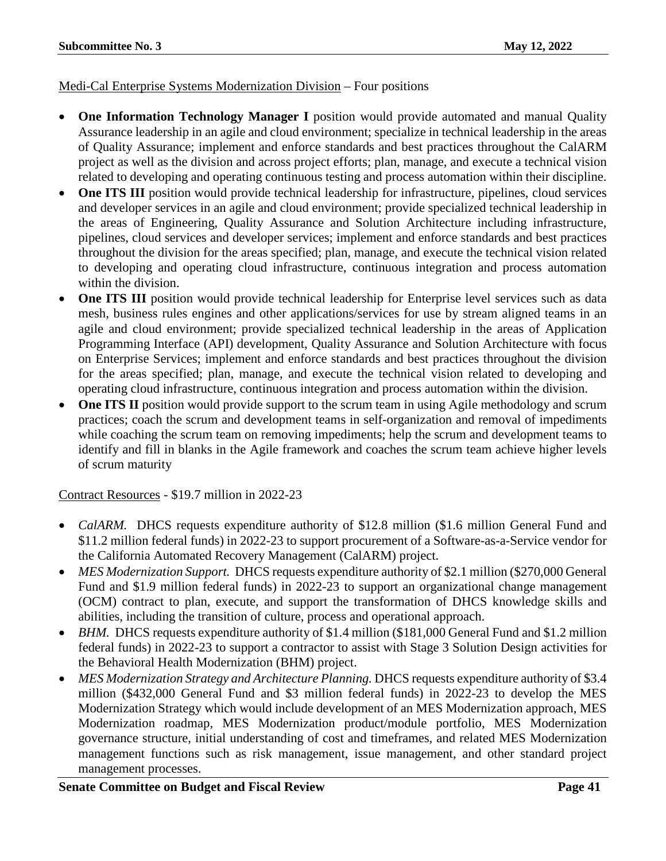# Medi-Cal Enterprise Systems Modernization Division – Four positions

- **One Information Technology Manager I** position would provide automated and manual Quality Assurance leadership in an agile and cloud environment; specialize in technical leadership in the areas of Quality Assurance; implement and enforce standards and best practices throughout the CalARM project as well as the division and across project efforts; plan, manage, and execute a technical vision related to developing and operating continuous testing and process automation within their discipline.
- **One ITS III** position would provide technical leadership for infrastructure, pipelines, cloud services and developer services in an agile and cloud environment; provide specialized technical leadership in the areas of Engineering, Quality Assurance and Solution Architecture including infrastructure, pipelines, cloud services and developer services; implement and enforce standards and best practices throughout the division for the areas specified; plan, manage, and execute the technical vision related to developing and operating cloud infrastructure, continuous integration and process automation within the division.
- **One ITS III** position would provide technical leadership for Enterprise level services such as data mesh, business rules engines and other applications/services for use by stream aligned teams in an agile and cloud environment; provide specialized technical leadership in the areas of Application Programming Interface (API) development, Quality Assurance and Solution Architecture with focus on Enterprise Services; implement and enforce standards and best practices throughout the division for the areas specified; plan, manage, and execute the technical vision related to developing and operating cloud infrastructure, continuous integration and process automation within the division.
- **One ITS II** position would provide support to the scrum team in using Agile methodology and scrum practices; coach the scrum and development teams in self-organization and removal of impediments while coaching the scrum team on removing impediments; help the scrum and development teams to identify and fill in blanks in the Agile framework and coaches the scrum team achieve higher levels of scrum maturity

# Contract Resources - \$19.7 million in 2022-23

- *CalARM.* DHCS requests expenditure authority of \$12.8 million (\$1.6 million General Fund and \$11.2 million federal funds) in 2022-23 to support procurement of a Software-as-a-Service vendor for the California Automated Recovery Management (CalARM) project.
- *MES Modernization Support.* DHCS requests expenditure authority of \$2.1 million (\$270,000 General Fund and \$1.9 million federal funds) in 2022-23 to support an organizational change management (OCM) contract to plan, execute, and support the transformation of DHCS knowledge skills and abilities, including the transition of culture, process and operational approach.
- *BHM.* DHCS requests expenditure authority of \$1.4 million (\$181,000 General Fund and \$1.2 million federal funds) in 2022-23 to support a contractor to assist with Stage 3 Solution Design activities for the Behavioral Health Modernization (BHM) project.
- *MES Modernization Strategy and Architecture Planning.* DHCS requests expenditure authority of \$3.4 million (\$432,000 General Fund and \$3 million federal funds) in 2022-23 to develop the MES Modernization Strategy which would include development of an MES Modernization approach, MES Modernization roadmap, MES Modernization product/module portfolio, MES Modernization governance structure, initial understanding of cost and timeframes, and related MES Modernization management functions such as risk management, issue management, and other standard project management processes.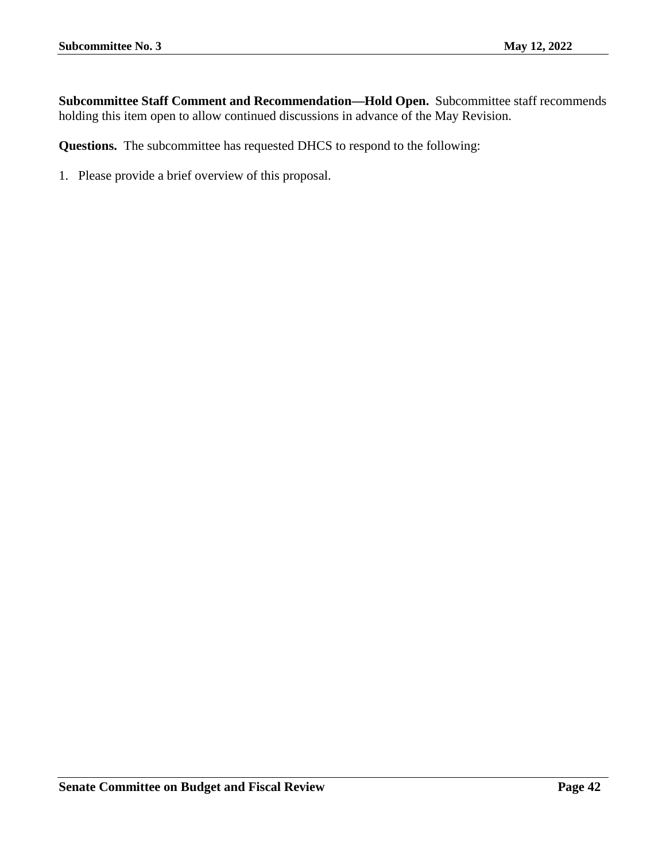**Subcommittee Staff Comment and Recommendation—Hold Open.** Subcommittee staff recommends holding this item open to allow continued discussions in advance of the May Revision.

**Questions.** The subcommittee has requested DHCS to respond to the following: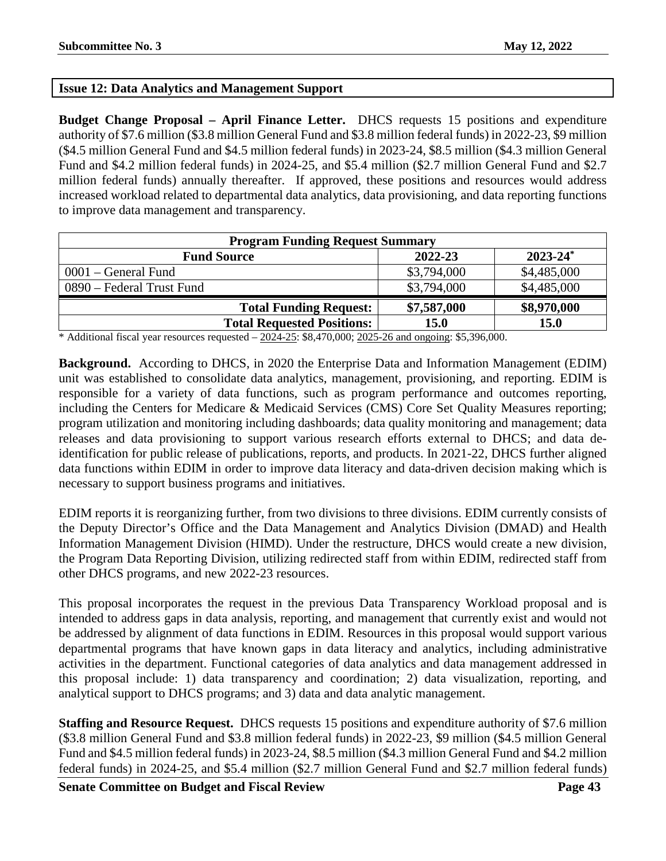# <span id="page-42-0"></span>**Issue 12: Data Analytics and Management Support**

**Budget Change Proposal – April Finance Letter.** DHCS requests 15 positions and expenditure authority of \$7.6 million (\$3.8 million General Fund and \$3.8 million federal funds) in 2022-23, \$9 million (\$4.5 million General Fund and \$4.5 million federal funds) in 2023-24, \$8.5 million (\$4.3 million General Fund and \$4.2 million federal funds) in 2024-25, and \$5.4 million (\$2.7 million General Fund and \$2.7 million federal funds) annually thereafter. If approved, these positions and resources would address increased workload related to departmental data analytics, data provisioning, and data reporting functions to improve data management and transparency.

| <b>Program Funding Request Summary</b> |             |               |  |
|----------------------------------------|-------------|---------------|--|
| <b>Fund Source</b>                     | 2022-23     | $2023 - 24^*$ |  |
| $0001$ – General Fund                  | \$3,794,000 | \$4,485,000   |  |
| 0890 – Federal Trust Fund              | \$3,794,000 | \$4,485,000   |  |
| <b>Total Funding Request:</b>          | \$7,587,000 | \$8,970,000   |  |
| <b>Total Requested Positions:</b>      | <b>15.0</b> | <b>15.0</b>   |  |

\* Additional fiscal year resources requested  $-2024-25$ : \$8,470,000;  $2025-26$  and ongoing: \$5,396,000.

**Background.** According to DHCS, in 2020 the Enterprise Data and Information Management (EDIM) unit was established to consolidate data analytics, management, provisioning, and reporting. EDIM is responsible for a variety of data functions, such as program performance and outcomes reporting, including the Centers for Medicare & Medicaid Services (CMS) Core Set Quality Measures reporting; program utilization and monitoring including dashboards; data quality monitoring and management; data releases and data provisioning to support various research efforts external to DHCS; and data deidentification for public release of publications, reports, and products. In 2021-22, DHCS further aligned data functions within EDIM in order to improve data literacy and data-driven decision making which is necessary to support business programs and initiatives.

EDIM reports it is reorganizing further, from two divisions to three divisions. EDIM currently consists of the Deputy Director's Office and the Data Management and Analytics Division (DMAD) and Health Information Management Division (HIMD). Under the restructure, DHCS would create a new division, the Program Data Reporting Division, utilizing redirected staff from within EDIM, redirected staff from other DHCS programs, and new 2022-23 resources.

This proposal incorporates the request in the previous Data Transparency Workload proposal and is intended to address gaps in data analysis, reporting, and management that currently exist and would not be addressed by alignment of data functions in EDIM. Resources in this proposal would support various departmental programs that have known gaps in data literacy and analytics, including administrative activities in the department. Functional categories of data analytics and data management addressed in this proposal include: 1) data transparency and coordination; 2) data visualization, reporting, and analytical support to DHCS programs; and 3) data and data analytic management.

**Staffing and Resource Request.** DHCS requests 15 positions and expenditure authority of \$7.6 million (\$3.8 million General Fund and \$3.8 million federal funds) in 2022-23, \$9 million (\$4.5 million General Fund and \$4.5 million federal funds) in 2023-24, \$8.5 million (\$4.3 million General Fund and \$4.2 million federal funds) in 2024-25, and \$5.4 million (\$2.7 million General Fund and \$2.7 million federal funds)

**Senate Committee on Budget and Fiscal Review <b>Page 43 Page 43**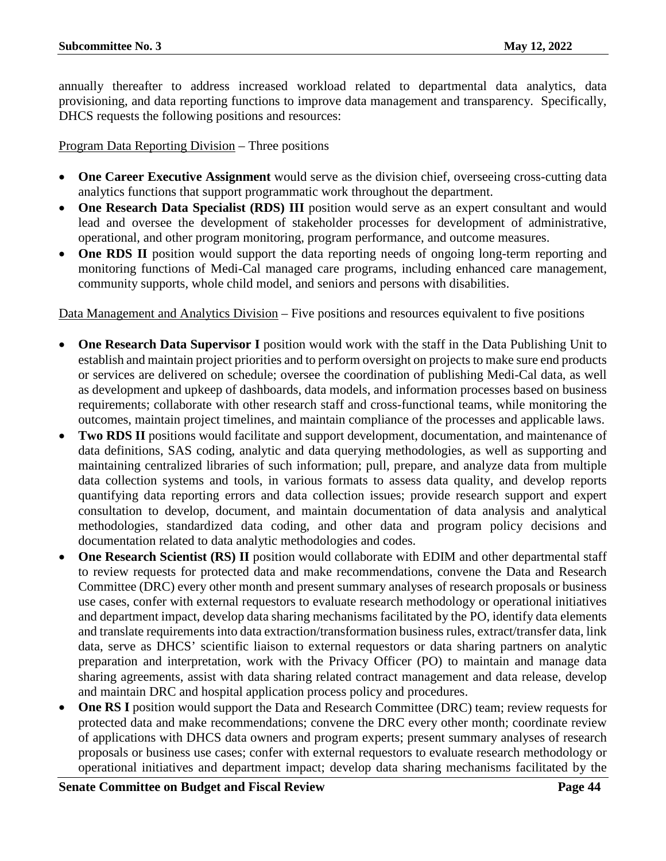annually thereafter to address increased workload related to departmental data analytics, data provisioning, and data reporting functions to improve data management and transparency. Specifically, DHCS requests the following positions and resources:

Program Data Reporting Division – Three positions

- **One Career Executive Assignment** would serve as the division chief, overseeing cross-cutting data analytics functions that support programmatic work throughout the department.
- **One Research Data Specialist (RDS) III** position would serve as an expert consultant and would lead and oversee the development of stakeholder processes for development of administrative, operational, and other program monitoring, program performance, and outcome measures.
- **One RDS II** position would support the data reporting needs of ongoing long-term reporting and monitoring functions of Medi-Cal managed care programs, including enhanced care management, community supports, whole child model, and seniors and persons with disabilities.

Data Management and Analytics Division – Five positions and resources equivalent to five positions

- **One Research Data Supervisor I** position would work with the staff in the Data Publishing Unit to establish and maintain project priorities and to perform oversight on projects to make sure end products or services are delivered on schedule; oversee the coordination of publishing Medi-Cal data, as well as development and upkeep of dashboards, data models, and information processes based on business requirements; collaborate with other research staff and cross-functional teams, while monitoring the outcomes, maintain project timelines, and maintain compliance of the processes and applicable laws.
- **Two RDS II** positions would facilitate and support development, documentation, and maintenance of data definitions, SAS coding, analytic and data querying methodologies, as well as supporting and maintaining centralized libraries of such information; pull, prepare, and analyze data from multiple data collection systems and tools, in various formats to assess data quality, and develop reports quantifying data reporting errors and data collection issues; provide research support and expert consultation to develop, document, and maintain documentation of data analysis and analytical methodologies, standardized data coding, and other data and program policy decisions and documentation related to data analytic methodologies and codes.
- One Research Scientist (RS) II position would collaborate with EDIM and other departmental staff to review requests for protected data and make recommendations, convene the Data and Research Committee (DRC) every other month and present summary analyses of research proposals or business use cases, confer with external requestors to evaluate research methodology or operational initiatives and department impact, develop data sharing mechanisms facilitated by the PO, identify data elements and translate requirements into data extraction/transformation business rules, extract/transfer data, link data, serve as DHCS' scientific liaison to external requestors or data sharing partners on analytic preparation and interpretation, work with the Privacy Officer (PO) to maintain and manage data sharing agreements, assist with data sharing related contract management and data release, develop and maintain DRC and hospital application process policy and procedures.
- **One RS I** position would support the Data and Research Committee (DRC) team; review requests for protected data and make recommendations; convene the DRC every other month; coordinate review of applications with DHCS data owners and program experts; present summary analyses of research proposals or business use cases; confer with external requestors to evaluate research methodology or operational initiatives and department impact; develop data sharing mechanisms facilitated by the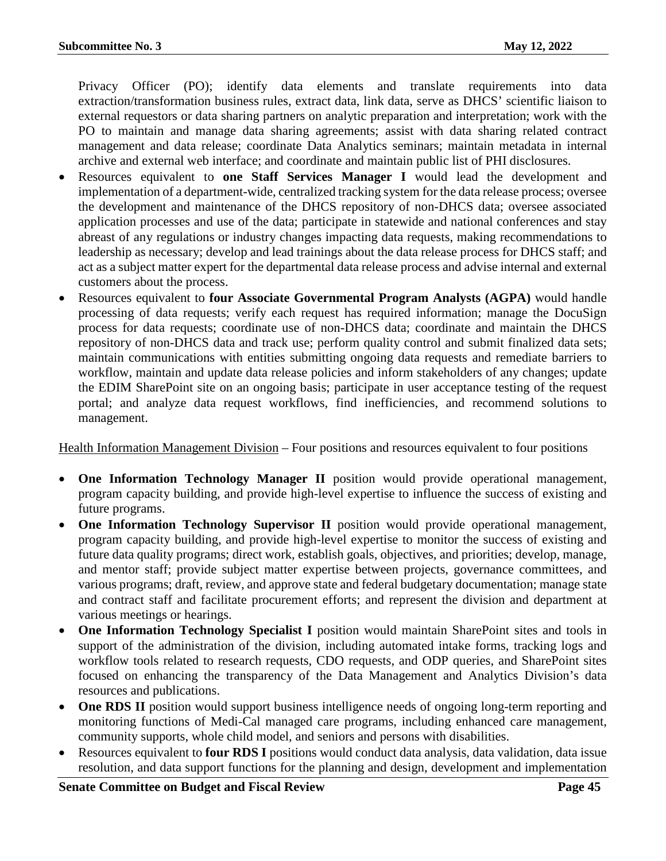Privacy Officer (PO); identify data elements and translate requirements into data extraction/transformation business rules, extract data, link data, serve as DHCS' scientific liaison to external requestors or data sharing partners on analytic preparation and interpretation; work with the PO to maintain and manage data sharing agreements; assist with data sharing related contract management and data release; coordinate Data Analytics seminars; maintain metadata in internal archive and external web interface; and coordinate and maintain public list of PHI disclosures.

- Resources equivalent to **one Staff Services Manager I** would lead the development and implementation of a department-wide, centralized tracking system for the data release process; oversee the development and maintenance of the DHCS repository of non-DHCS data; oversee associated application processes and use of the data; participate in statewide and national conferences and stay abreast of any regulations or industry changes impacting data requests, making recommendations to leadership as necessary; develop and lead trainings about the data release process for DHCS staff; and act as a subject matter expert for the departmental data release process and advise internal and external customers about the process.
- Resources equivalent to **four Associate Governmental Program Analysts (AGPA)** would handle processing of data requests; verify each request has required information; manage the DocuSign process for data requests; coordinate use of non-DHCS data; coordinate and maintain the DHCS repository of non-DHCS data and track use; perform quality control and submit finalized data sets; maintain communications with entities submitting ongoing data requests and remediate barriers to workflow, maintain and update data release policies and inform stakeholders of any changes; update the EDIM SharePoint site on an ongoing basis; participate in user acceptance testing of the request portal; and analyze data request workflows, find inefficiencies, and recommend solutions to management.

Health Information Management Division – Four positions and resources equivalent to four positions

- **One Information Technology Manager II** position would provide operational management, program capacity building, and provide high-level expertise to influence the success of existing and future programs.
- **One Information Technology Supervisor II** position would provide operational management, program capacity building, and provide high-level expertise to monitor the success of existing and future data quality programs; direct work, establish goals, objectives, and priorities; develop, manage, and mentor staff; provide subject matter expertise between projects, governance committees, and various programs; draft, review, and approve state and federal budgetary documentation; manage state and contract staff and facilitate procurement efforts; and represent the division and department at various meetings or hearings.
- **One Information Technology Specialist I** position would maintain SharePoint sites and tools in support of the administration of the division, including automated intake forms, tracking logs and workflow tools related to research requests, CDO requests, and ODP queries, and SharePoint sites focused on enhancing the transparency of the Data Management and Analytics Division's data resources and publications.
- **One RDS II** position would support business intelligence needs of ongoing long-term reporting and monitoring functions of Medi-Cal managed care programs, including enhanced care management, community supports, whole child model, and seniors and persons with disabilities.
- Resources equivalent to **four RDS I** positions would conduct data analysis, data validation, data issue resolution, and data support functions for the planning and design, development and implementation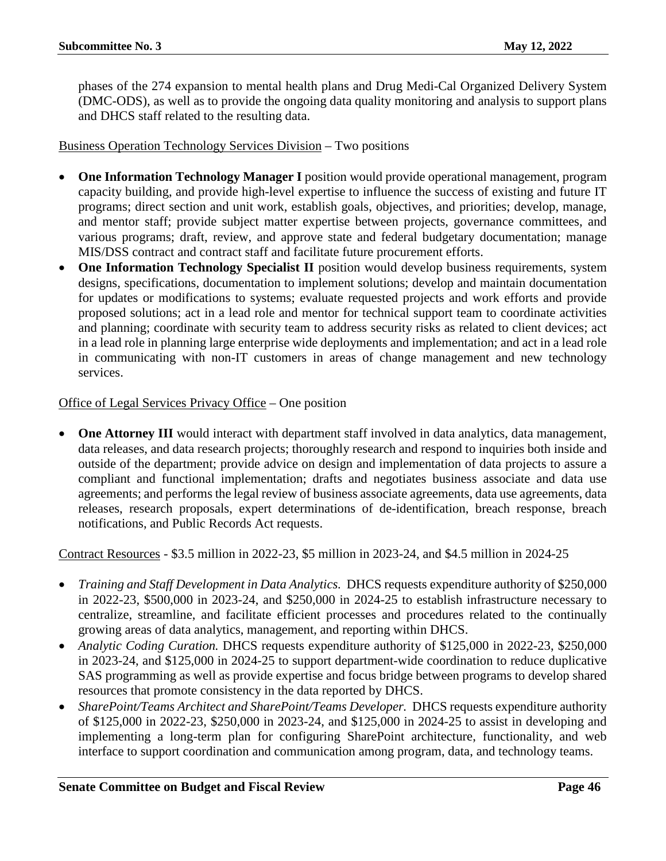phases of the 274 expansion to mental health plans and Drug Medi-Cal Organized Delivery System (DMC-ODS), as well as to provide the ongoing data quality monitoring and analysis to support plans and DHCS staff related to the resulting data.

# Business Operation Technology Services Division – Two positions

- **One Information Technology Manager I** position would provide operational management, program capacity building, and provide high-level expertise to influence the success of existing and future IT programs; direct section and unit work, establish goals, objectives, and priorities; develop, manage, and mentor staff; provide subject matter expertise between projects, governance committees, and various programs; draft, review, and approve state and federal budgetary documentation; manage MIS/DSS contract and contract staff and facilitate future procurement efforts.
- **One Information Technology Specialist II** position would develop business requirements, system designs, specifications, documentation to implement solutions; develop and maintain documentation for updates or modifications to systems; evaluate requested projects and work efforts and provide proposed solutions; act in a lead role and mentor for technical support team to coordinate activities and planning; coordinate with security team to address security risks as related to client devices; act in a lead role in planning large enterprise wide deployments and implementation; and act in a lead role in communicating with non-IT customers in areas of change management and new technology services.

# Office of Legal Services Privacy Office – One position

• **One Attorney III** would interact with department staff involved in data analytics, data management, data releases, and data research projects; thoroughly research and respond to inquiries both inside and outside of the department; provide advice on design and implementation of data projects to assure a compliant and functional implementation; drafts and negotiates business associate and data use agreements; and performs the legal review of business associate agreements, data use agreements, data releases, research proposals, expert determinations of de-identification, breach response, breach notifications, and Public Records Act requests.

Contract Resources - \$3.5 million in 2022-23, \$5 million in 2023-24, and \$4.5 million in 2024-25

- *Training and Staff Development in Data Analytics.* DHCS requests expenditure authority of \$250,000 in 2022-23, \$500,000 in 2023-24, and \$250,000 in 2024-25 to establish infrastructure necessary to centralize, streamline, and facilitate efficient processes and procedures related to the continually growing areas of data analytics, management, and reporting within DHCS.
- *Analytic Coding Curation.* DHCS requests expenditure authority of \$125,000 in 2022-23, \$250,000 in 2023-24, and \$125,000 in 2024-25 to support department-wide coordination to reduce duplicative SAS programming as well as provide expertise and focus bridge between programs to develop shared resources that promote consistency in the data reported by DHCS.
- *SharePoint/Teams Architect and SharePoint/Teams Developer.* DHCS requests expenditure authority of \$125,000 in 2022-23, \$250,000 in 2023-24, and \$125,000 in 2024-25 to assist in developing and implementing a long-term plan for configuring SharePoint architecture, functionality, and web interface to support coordination and communication among program, data, and technology teams.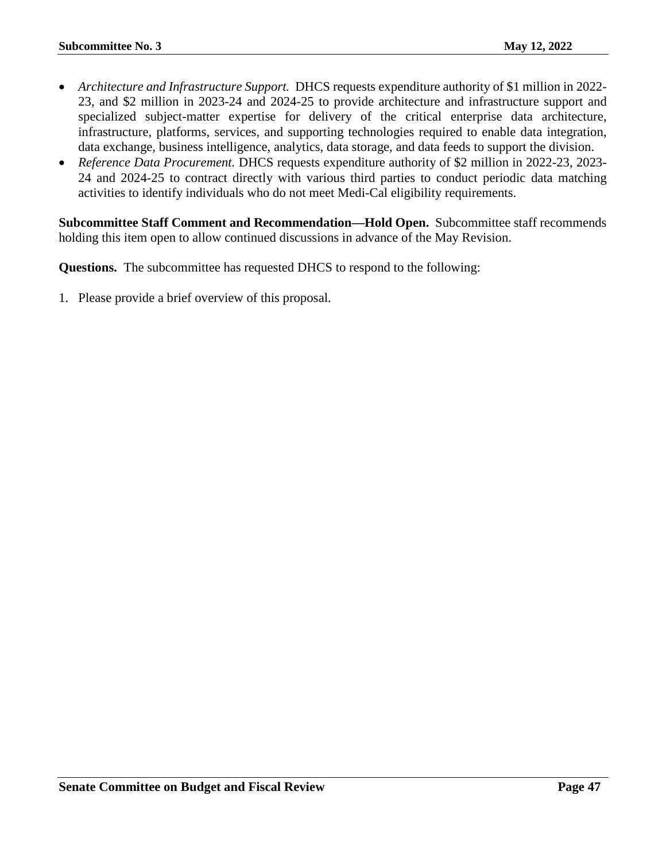- *Architecture and Infrastructure Support.* DHCS requests expenditure authority of \$1 million in 2022- 23, and \$2 million in 2023-24 and 2024-25 to provide architecture and infrastructure support and specialized subject-matter expertise for delivery of the critical enterprise data architecture, infrastructure, platforms, services, and supporting technologies required to enable data integration, data exchange, business intelligence, analytics, data storage, and data feeds to support the division.
- *Reference Data Procurement.* DHCS requests expenditure authority of \$2 million in 2022-23, 2023- 24 and 2024-25 to contract directly with various third parties to conduct periodic data matching activities to identify individuals who do not meet Medi-Cal eligibility requirements.

**Subcommittee Staff Comment and Recommendation—Hold Open.** Subcommittee staff recommends holding this item open to allow continued discussions in advance of the May Revision.

**Questions.** The subcommittee has requested DHCS to respond to the following: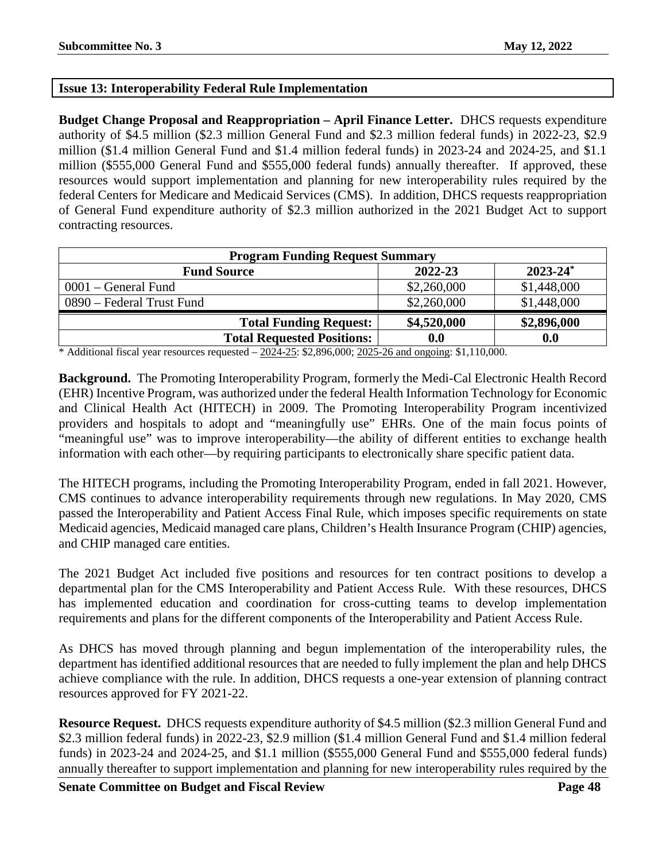# <span id="page-47-0"></span>**Issue 13: Interoperability Federal Rule Implementation**

**Budget Change Proposal and Reappropriation – April Finance Letter.** DHCS requests expenditure authority of \$4.5 million (\$2.3 million General Fund and \$2.3 million federal funds) in 2022-23, \$2.9 million (\$1.4 million General Fund and \$1.4 million federal funds) in 2023-24 and 2024-25, and \$1.1 million (\$555,000 General Fund and \$555,000 federal funds) annually thereafter. If approved, these resources would support implementation and planning for new interoperability rules required by the federal Centers for Medicare and Medicaid Services (CMS). In addition, DHCS requests reappropriation of General Fund expenditure authority of \$2.3 million authorized in the 2021 Budget Act to support contracting resources.

| <b>Program Funding Request Summary</b> |             |               |  |
|----------------------------------------|-------------|---------------|--|
| <b>Fund Source</b>                     | 2022-23     | $2023 - 24^*$ |  |
| $0001$ – General Fund                  | \$2,260,000 | \$1,448,000   |  |
| 0890 – Federal Trust Fund              | \$2,260,000 | \$1,448,000   |  |
| <b>Total Funding Request:</b>          | \$4,520,000 | \$2,896,000   |  |
| <b>Total Requested Positions:</b>      | 0.0         | 0.0           |  |

\* Additional fiscal year resources requested  $-2024-25$ : \$2,896,000; 2025-26 and ongoing: \$1,110,000.

**Background.** The Promoting Interoperability Program, formerly the Medi-Cal Electronic Health Record (EHR) Incentive Program, was authorized under the federal Health Information Technology for Economic and Clinical Health Act (HITECH) in 2009. The Promoting Interoperability Program incentivized providers and hospitals to adopt and "meaningfully use" EHRs. One of the main focus points of "meaningful use" was to improve interoperability—the ability of different entities to exchange health information with each other—by requiring participants to electronically share specific patient data.

The HITECH programs, including the Promoting Interoperability Program, ended in fall 2021. However, CMS continues to advance interoperability requirements through new regulations. In May 2020, CMS passed the Interoperability and Patient Access Final Rule, which imposes specific requirements on state Medicaid agencies, Medicaid managed care plans, Children's Health Insurance Program (CHIP) agencies, and CHIP managed care entities.

The 2021 Budget Act included five positions and resources for ten contract positions to develop a departmental plan for the CMS Interoperability and Patient Access Rule. With these resources, DHCS has implemented education and coordination for cross-cutting teams to develop implementation requirements and plans for the different components of the Interoperability and Patient Access Rule.

As DHCS has moved through planning and begun implementation of the interoperability rules, the department has identified additional resources that are needed to fully implement the plan and help DHCS achieve compliance with the rule. In addition, DHCS requests a one-year extension of planning contract resources approved for FY 2021-22.

**Resource Request.** DHCS requests expenditure authority of \$4.5 million (\$2.3 million General Fund and \$2.3 million federal funds) in 2022-23, \$2.9 million (\$1.4 million General Fund and \$1.4 million federal funds) in 2023-24 and 2024-25, and \$1.1 million (\$555,000 General Fund and \$555,000 federal funds) annually thereafter to support implementation and planning for new interoperability rules required by the

**Senate Committee on Budget and Fiscal Review <b>Page 48 Page 48**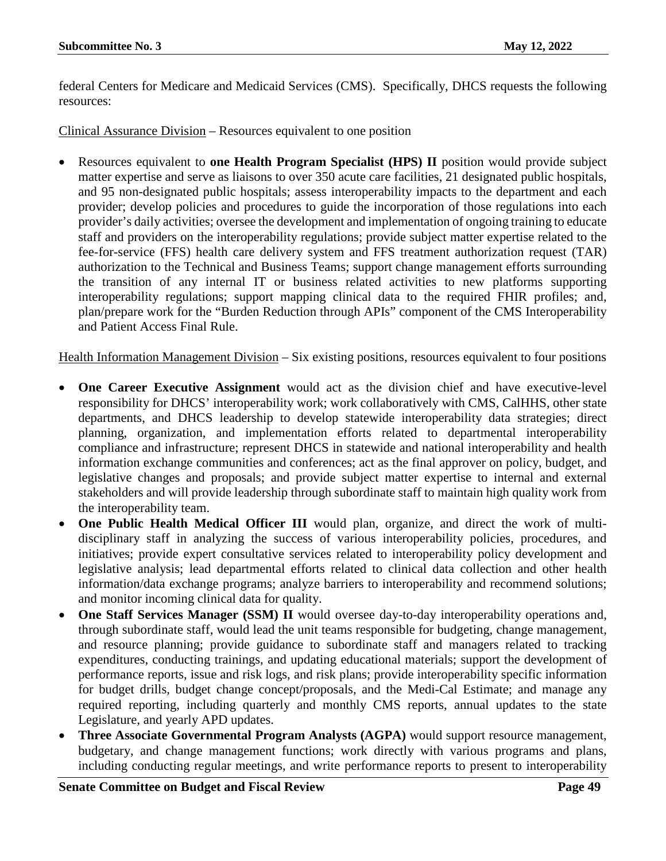federal Centers for Medicare and Medicaid Services (CMS). Specifically, DHCS requests the following resources:

Clinical Assurance Division – Resources equivalent to one position

• Resources equivalent to **one Health Program Specialist (HPS) II** position would provide subject matter expertise and serve as liaisons to over 350 acute care facilities, 21 designated public hospitals, and 95 non-designated public hospitals; assess interoperability impacts to the department and each provider; develop policies and procedures to guide the incorporation of those regulations into each provider's daily activities; oversee the development and implementation of ongoing training to educate staff and providers on the interoperability regulations; provide subject matter expertise related to the fee-for-service (FFS) health care delivery system and FFS treatment authorization request (TAR) authorization to the Technical and Business Teams; support change management efforts surrounding the transition of any internal IT or business related activities to new platforms supporting interoperability regulations; support mapping clinical data to the required FHIR profiles; and, plan/prepare work for the "Burden Reduction through APIs" component of the CMS Interoperability and Patient Access Final Rule.

Health Information Management Division – Six existing positions, resources equivalent to four positions

- **One Career Executive Assignment** would act as the division chief and have executive-level responsibility for DHCS' interoperability work; work collaboratively with CMS, CalHHS, other state departments, and DHCS leadership to develop statewide interoperability data strategies; direct planning, organization, and implementation efforts related to departmental interoperability compliance and infrastructure; represent DHCS in statewide and national interoperability and health information exchange communities and conferences; act as the final approver on policy, budget, and legislative changes and proposals; and provide subject matter expertise to internal and external stakeholders and will provide leadership through subordinate staff to maintain high quality work from the interoperability team.
- **One Public Health Medical Officer III** would plan, organize, and direct the work of multidisciplinary staff in analyzing the success of various interoperability policies, procedures, and initiatives; provide expert consultative services related to interoperability policy development and legislative analysis; lead departmental efforts related to clinical data collection and other health information/data exchange programs; analyze barriers to interoperability and recommend solutions; and monitor incoming clinical data for quality.
- **One Staff Services Manager (SSM) II** would oversee day-to-day interoperability operations and, through subordinate staff, would lead the unit teams responsible for budgeting, change management, and resource planning; provide guidance to subordinate staff and managers related to tracking expenditures, conducting trainings, and updating educational materials; support the development of performance reports, issue and risk logs, and risk plans; provide interoperability specific information for budget drills, budget change concept/proposals, and the Medi-Cal Estimate; and manage any required reporting, including quarterly and monthly CMS reports, annual updates to the state Legislature, and yearly APD updates.
- **Three Associate Governmental Program Analysts (AGPA)** would support resource management, budgetary, and change management functions; work directly with various programs and plans, including conducting regular meetings, and write performance reports to present to interoperability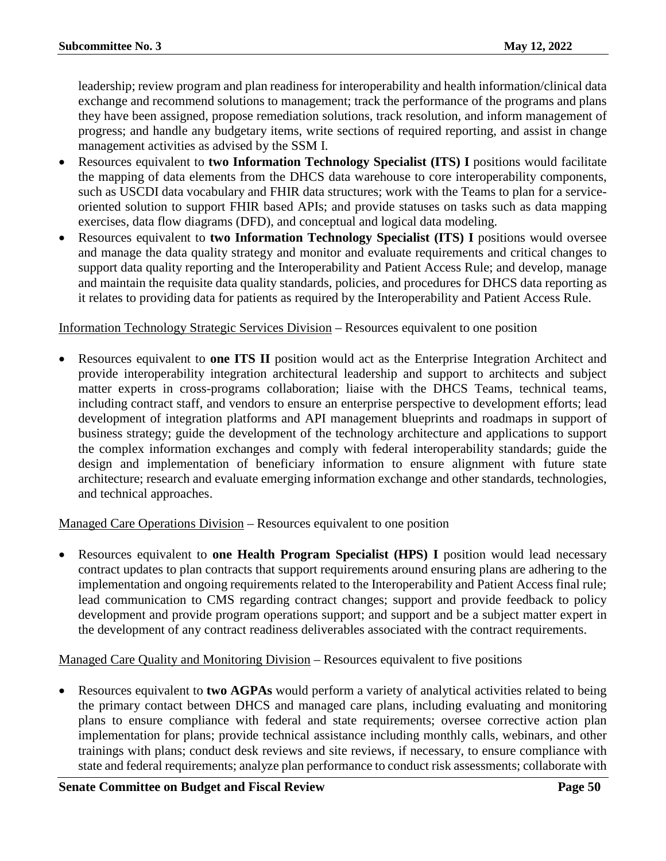leadership; review program and plan readiness for interoperability and health information/clinical data exchange and recommend solutions to management; track the performance of the programs and plans they have been assigned, propose remediation solutions, track resolution, and inform management of progress; and handle any budgetary items, write sections of required reporting, and assist in change management activities as advised by the SSM I.

- Resources equivalent to **two Information Technology Specialist (ITS) I** positions would facilitate the mapping of data elements from the DHCS data warehouse to core interoperability components, such as USCDI data vocabulary and FHIR data structures; work with the Teams to plan for a serviceoriented solution to support FHIR based APIs; and provide statuses on tasks such as data mapping exercises, data flow diagrams (DFD), and conceptual and logical data modeling.
- Resources equivalent to **two Information Technology Specialist (ITS) I** positions would oversee and manage the data quality strategy and monitor and evaluate requirements and critical changes to support data quality reporting and the Interoperability and Patient Access Rule; and develop, manage and maintain the requisite data quality standards, policies, and procedures for DHCS data reporting as it relates to providing data for patients as required by the Interoperability and Patient Access Rule.

# Information Technology Strategic Services Division – Resources equivalent to one position

• Resources equivalent to **one ITS II** position would act as the Enterprise Integration Architect and provide interoperability integration architectural leadership and support to architects and subject matter experts in cross-programs collaboration; liaise with the DHCS Teams, technical teams, including contract staff, and vendors to ensure an enterprise perspective to development efforts; lead development of integration platforms and API management blueprints and roadmaps in support of business strategy; guide the development of the technology architecture and applications to support the complex information exchanges and comply with federal interoperability standards; guide the design and implementation of beneficiary information to ensure alignment with future state architecture; research and evaluate emerging information exchange and other standards, technologies, and technical approaches.

Managed Care Operations Division – Resources equivalent to one position

• Resources equivalent to **one Health Program Specialist (HPS) I** position would lead necessary contract updates to plan contracts that support requirements around ensuring plans are adhering to the implementation and ongoing requirements related to the Interoperability and Patient Access final rule; lead communication to CMS regarding contract changes; support and provide feedback to policy development and provide program operations support; and support and be a subject matter expert in the development of any contract readiness deliverables associated with the contract requirements.

Managed Care Quality and Monitoring Division – Resources equivalent to five positions

• Resources equivalent to **two AGPAs** would perform a variety of analytical activities related to being the primary contact between DHCS and managed care plans, including evaluating and monitoring plans to ensure compliance with federal and state requirements; oversee corrective action plan implementation for plans; provide technical assistance including monthly calls, webinars, and other trainings with plans; conduct desk reviews and site reviews, if necessary, to ensure compliance with state and federal requirements; analyze plan performance to conduct risk assessments; collaborate with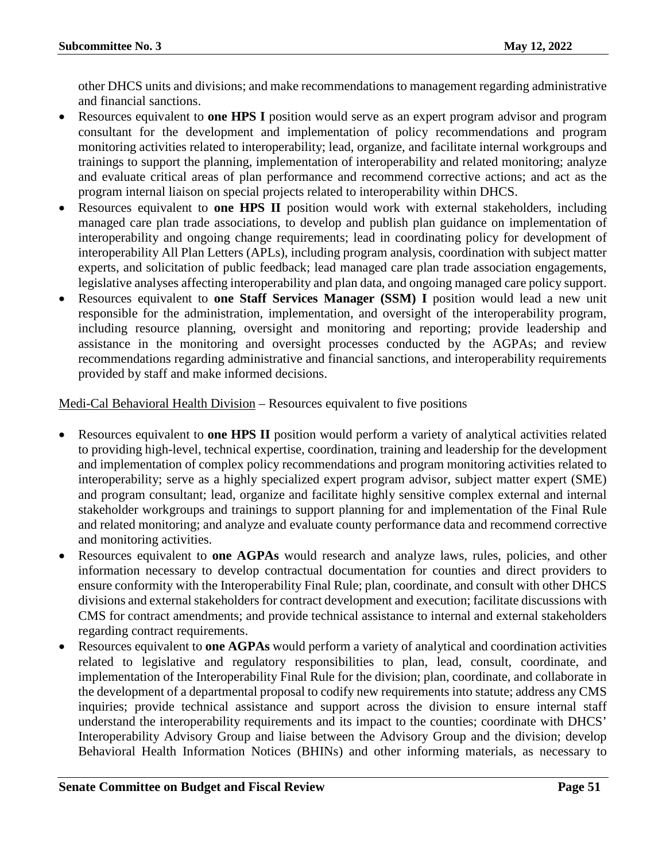other DHCS units and divisions; and make recommendations to management regarding administrative and financial sanctions.

- Resources equivalent to **one HPS I** position would serve as an expert program advisor and program consultant for the development and implementation of policy recommendations and program monitoring activities related to interoperability; lead, organize, and facilitate internal workgroups and trainings to support the planning, implementation of interoperability and related monitoring; analyze and evaluate critical areas of plan performance and recommend corrective actions; and act as the program internal liaison on special projects related to interoperability within DHCS.
- Resources equivalent to **one HPS II** position would work with external stakeholders, including managed care plan trade associations, to develop and publish plan guidance on implementation of interoperability and ongoing change requirements; lead in coordinating policy for development of interoperability All Plan Letters (APLs), including program analysis, coordination with subject matter experts, and solicitation of public feedback; lead managed care plan trade association engagements, legislative analyses affecting interoperability and plan data, and ongoing managed care policy support.
- Resources equivalent to **one Staff Services Manager (SSM) I** position would lead a new unit responsible for the administration, implementation, and oversight of the interoperability program, including resource planning, oversight and monitoring and reporting; provide leadership and assistance in the monitoring and oversight processes conducted by the AGPAs; and review recommendations regarding administrative and financial sanctions, and interoperability requirements provided by staff and make informed decisions.

# Medi-Cal Behavioral Health Division – Resources equivalent to five positions

- Resources equivalent to **one HPS II** position would perform a variety of analytical activities related to providing high-level, technical expertise, coordination, training and leadership for the development and implementation of complex policy recommendations and program monitoring activities related to interoperability; serve as a highly specialized expert program advisor, subject matter expert (SME) and program consultant; lead, organize and facilitate highly sensitive complex external and internal stakeholder workgroups and trainings to support planning for and implementation of the Final Rule and related monitoring; and analyze and evaluate county performance data and recommend corrective and monitoring activities.
- Resources equivalent to **one AGPAs** would research and analyze laws, rules, policies, and other information necessary to develop contractual documentation for counties and direct providers to ensure conformity with the Interoperability Final Rule; plan, coordinate, and consult with other DHCS divisions and external stakeholders for contract development and execution; facilitate discussions with CMS for contract amendments; and provide technical assistance to internal and external stakeholders regarding contract requirements.
- Resources equivalent to **one AGPAs** would perform a variety of analytical and coordination activities related to legislative and regulatory responsibilities to plan, lead, consult, coordinate, and implementation of the Interoperability Final Rule for the division; plan, coordinate, and collaborate in the development of a departmental proposal to codify new requirements into statute; address any CMS inquiries; provide technical assistance and support across the division to ensure internal staff understand the interoperability requirements and its impact to the counties; coordinate with DHCS' Interoperability Advisory Group and liaise between the Advisory Group and the division; develop Behavioral Health Information Notices (BHINs) and other informing materials, as necessary to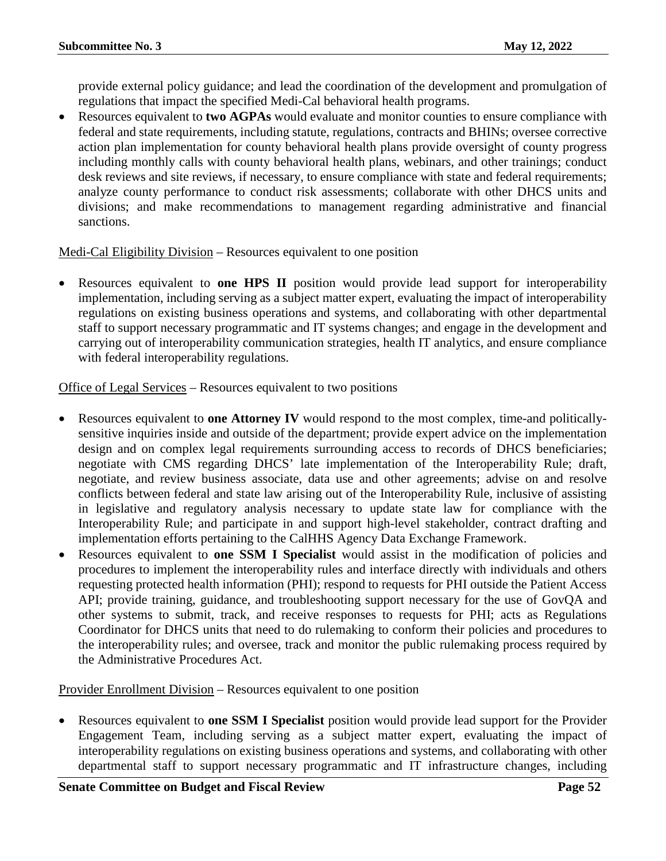provide external policy guidance; and lead the coordination of the development and promulgation of regulations that impact the specified Medi-Cal behavioral health programs.

• Resources equivalent to **two AGPAs** would evaluate and monitor counties to ensure compliance with federal and state requirements, including statute, regulations, contracts and BHINs; oversee corrective action plan implementation for county behavioral health plans provide oversight of county progress including monthly calls with county behavioral health plans, webinars, and other trainings; conduct desk reviews and site reviews, if necessary, to ensure compliance with state and federal requirements; analyze county performance to conduct risk assessments; collaborate with other DHCS units and divisions; and make recommendations to management regarding administrative and financial sanctions.

Medi-Cal Eligibility Division – Resources equivalent to one position

• Resources equivalent to **one HPS II** position would provide lead support for interoperability implementation, including serving as a subject matter expert, evaluating the impact of interoperability regulations on existing business operations and systems, and collaborating with other departmental staff to support necessary programmatic and IT systems changes; and engage in the development and carrying out of interoperability communication strategies, health IT analytics, and ensure compliance with federal interoperability regulations.

Office of Legal Services – Resources equivalent to two positions

- Resources equivalent to **one Attorney IV** would respond to the most complex, time-and politicallysensitive inquiries inside and outside of the department; provide expert advice on the implementation design and on complex legal requirements surrounding access to records of DHCS beneficiaries; negotiate with CMS regarding DHCS' late implementation of the Interoperability Rule; draft, negotiate, and review business associate, data use and other agreements; advise on and resolve conflicts between federal and state law arising out of the Interoperability Rule, inclusive of assisting in legislative and regulatory analysis necessary to update state law for compliance with the Interoperability Rule; and participate in and support high-level stakeholder, contract drafting and implementation efforts pertaining to the CalHHS Agency Data Exchange Framework.
- Resources equivalent to **one SSM I Specialist** would assist in the modification of policies and procedures to implement the interoperability rules and interface directly with individuals and others requesting protected health information (PHI); respond to requests for PHI outside the Patient Access API; provide training, guidance, and troubleshooting support necessary for the use of GovQA and other systems to submit, track, and receive responses to requests for PHI; acts as Regulations Coordinator for DHCS units that need to do rulemaking to conform their policies and procedures to the interoperability rules; and oversee, track and monitor the public rulemaking process required by the Administrative Procedures Act.

Provider Enrollment Division – Resources equivalent to one position

• Resources equivalent to **one SSM I Specialist** position would provide lead support for the Provider Engagement Team, including serving as a subject matter expert, evaluating the impact of interoperability regulations on existing business operations and systems, and collaborating with other departmental staff to support necessary programmatic and IT infrastructure changes, including